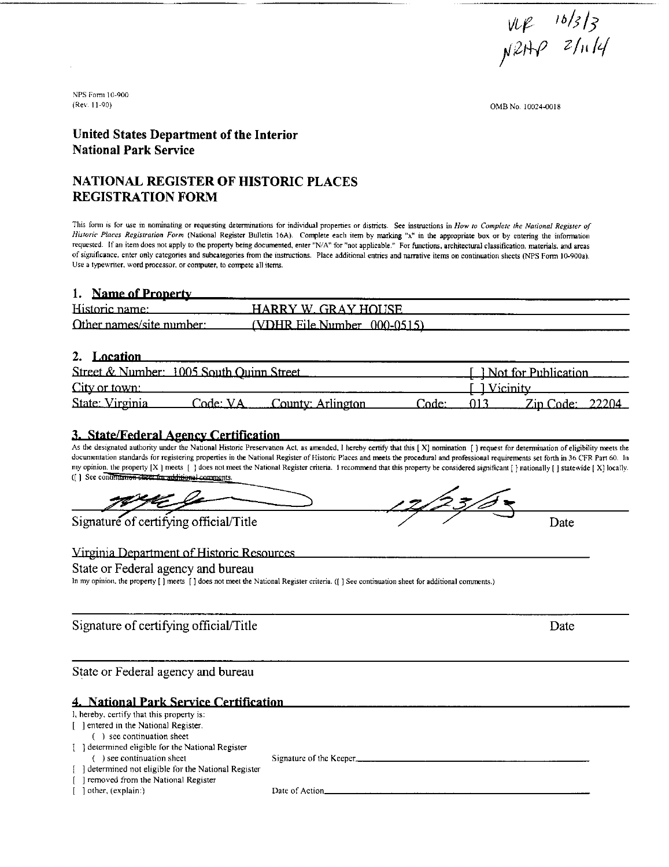$\frac{16}{3}$ <br> $\frac{16}{3}$ 

(OMB No. 10024-0018

#### **United States Department of the Interior National Park Sewice**

#### **NATIONAL REGISTER OF HISTORIC PLACES REGISTRATION FORM**

This form is for use in nominating or requesting determinations for individual properties or districts. See instructions in How to Complete the National Register of Historic Places Registration Form (National Register Bulletin 16A). Complete each item by marking "x" in the appropriate box or by entering the information requested. If an item does not apply to the property being documented, enter "N/A" for "not applicable." For functions, architectural classification, materials, and areas of significance, enter only categories and subcategories from the instructions. Place additional entries and narrative items on continuation sheets (NPS Form 10-900a). Use a typewriter, word processor, or computer, to compete all items.

#### 1. Name of Property

| Historic name:           | HARRY W GRAY HOUSE            |  |
|--------------------------|-------------------------------|--|
| Other names/site number: | $(VDHR File Number 000-0515)$ |  |

#### 2. Location

| 2. Location                              |          |                   |       |              |                              |
|------------------------------------------|----------|-------------------|-------|--------------|------------------------------|
| Street & Number: 1005 South Ouinn Street |          |                   |       |              | <u>I Not for Publication</u> |
| City or town:                            |          |                   |       | [ 1 Vicinity |                              |
| State: Virginia                          | Code: VA | County: Arlington | ∵ode: |              | .Zin Code:  22204            |

#### **3. State/Federal Agency Certification**

As the designated authority under the National Historic Preservation Act, as amended. I hereby certify that this [X] nomination [] request for determination of eligibility meets the documentation standards for registering properties in the National Register of Historic Places and meets the procedural and professional requirements set forth in 36 CFR Part 60. In ([] See confinitation sheet for additional comments.

Signature of certifying official/Title<br>
Continues of the Mational Register criteria. 1 recommend that this property be considered significant [] nationally [] statewide [X] locally.<br>
Continues in additional comments.

#### Virginia Department of Historic Resources

#### State or Federal agency and bureau

In my opinion, the property [] meets [] does not meet the National Register criteria. ([] See continuation sheet for additional comments.)

Signature of certifying official/Title Date

State or Federal agency and bureau

#### 4. National Park Service Certification

| I, hereby, certify that this property is:                  |                         |
|------------------------------------------------------------|-------------------------|
| [ ] entered in the National Register.                      |                         |
| see continuation sheet                                     |                         |
| [ ] determined eligible for the National Register          |                         |
| ) see continuation sheet                                   | Signature of the Keeper |
| $\lceil$ determined not eligible for the National Register |                         |
| removed from the National Register                         |                         |
| other, (explain:)                                          | Date of Action          |
|                                                            |                         |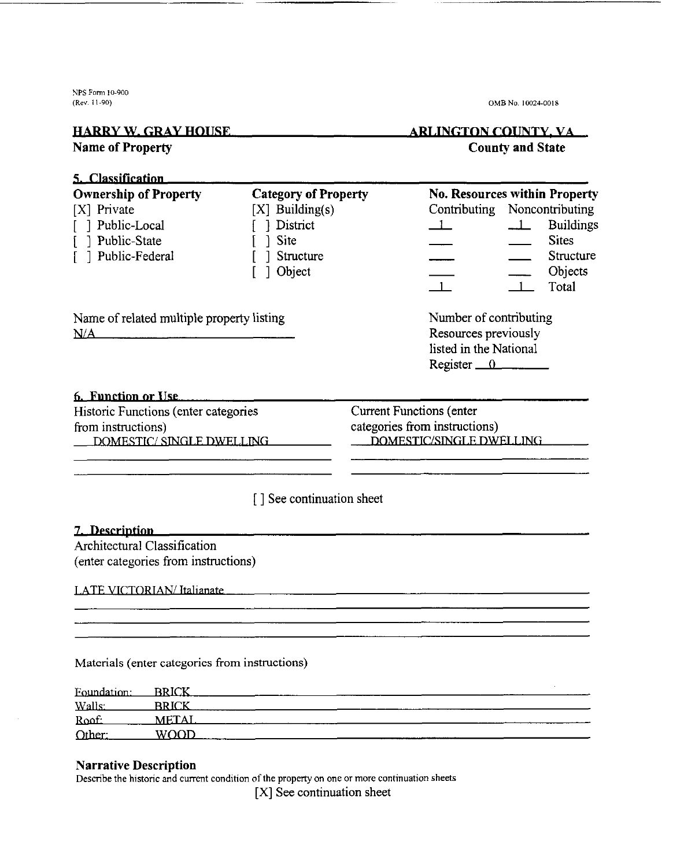**NPS Form 10-900** 

### **HARRY W. GRAY HOUSE.**

#### **ARLINGTON COUNTY, VA Name of Property** County and State **County** and State

(Reu. **I 1-90) OMB No. 10024-0018** 

### 5. Classification S. Classification<br>
Ownership of Property Category of Property No. Resources within Property<br>
[X] Private [X] Building(s) Contributing Noncontribut<br>
[ ] Public-Local [ ] District 1 - Build<br>
[ ] Public-State [ ] Site 1 - Sit **Category of Property**<br>
[X] Private [X] Building(s) **No. Resources within Property**<br>
[X] Building(s) **Contributing Moncontributing**<br>
[ ] Public-Local [ ] District <u>1</u><br>
[ ] Public-State [ ] Site <u>1</u> Sites<br> **Example 1** Category of Property<br>
[X] Private [X] Building(s) No. Resources within Property<br>
[ ] Public-Local [ ] District  $\begin{array}{ccc} 1 & \text{Double-Local} \\ 2 & 3 & \text{ public-State} \\ 3 & 4 & 5 \text{ public-State} \\ 4 & 5 & 5 \text{ public-Field} \\ 5 & 6 & 5 \text{ public-Field} \\ 6 & 7 & 6 \text{ public-Field} \\ 7 & 8 & 5 \text{ public-Field$ **Ownership of Property Category of Property No. Resources within Property** [ ] Object - - Objects [X] Private [X] Building(s) Contributing Noncontributing The Structure<br>
1 1 Structure<br>
1 1 Total<br>
1 Total Structure<br>
<u>I</u><br>
<u>I</u><br>
Chiects<br>
Number of contributing<br>
Resources previously<br>
listed in the National<br>
Register 0 Name of related multiple property listing Number of contributing Resources previously  $N/A$ listed in the National **<u>f. Function or Use</u>** Historic Functions (enter categories Current Functions (enter from instructions)<br>
DOMESTIC/SINGLE DWELLING<br>
DOMESTIC/SINGLE DWELLING<br>
DOMESTIC/SINGLE DWELLING [ ] See continuation sheet 7. Description Architectural Classification (enter categories from instructions) LATE VICTORIAN/Italianate Materials (enter categories from instructions) Foundation: **BRICK**

Walls:  $BRICK$ Roof: METAL\_ Other: WOOD

#### **Narrative Description**

Describe the historic and current condition of the property on one or more continuation sheets

[X] See continuation sheet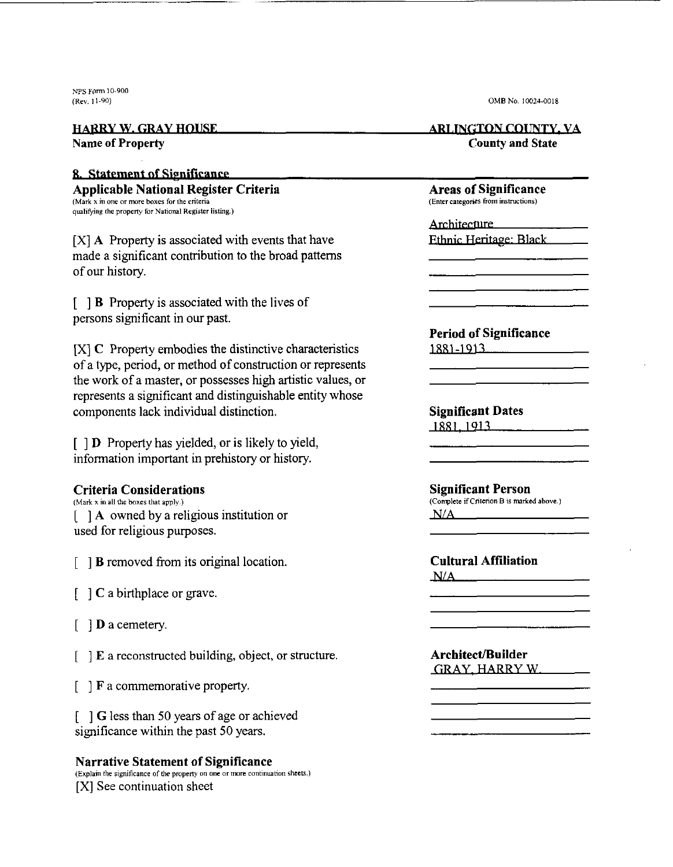**NPS porn 10.900** 

#### 8. Statement of Significance

**Applicable National Register Criteria Areas of Significance** *(Enter all Coner at a particular caregories from instructions) (Enter categories from instructions)* **qualifying the propem, for National Reglskr 1irIing.l** 

[XI **A** Property is associated with events that have made a significant contribution to the broad patterns of our history.

[ ] B Property is associated with the lives of persons significant in our past.

[XI **C** Property embodies the distinctive characteristics of a type, period, or method of construction or represents the work of a master, or possesses high artistic values, or represents a significant and distinguishable entity whose components lack individual distinction. Solution and the structure.<br>
Solution of the structure of the structure of the structure of the characteristics<br>
(architect values, or<br>
architect values, or<br>
Significant Dates<br>
Diele entity whose<br>
Significant Person<br>
Diele

 $\lceil \cdot \rceil$  D Property has yielded, or is likely to yield, information important in prehistory or history.

#### **Criteria Considerations**

**(Mark x ill all the boxer Ulat apply** ) [ ] **A** owned by a religious institution or used for religious purposes.

 $\lceil \ \ \rceil$  B removed from its original location.

[ ] **C** a birthplace or grave.

[ ] **D** a cemetery.

[ ] **E** a reconstructed building, object,

[ ] **F**  a commemorative property.

[ ] *G*  less than 50 years of age or achieved significance within the past 50 years.

#### **Narrative Statement of Significance**  (Explain the significance of the property on one or more continuation sheets.)

[XI See continuation sheet

(Rev **11-90) OMB No. 10024-0018** 

#### **1 TARRY W. GRAY HOUSE ARLINGTON COUNTY. VA Name of Property County and State**

**Period of Significance J881-1911** 

OMB No. 10024-0018<br> **ARLINGTON COUNTY, VA**<br>
County and State<br> **Areas of Significance**<br> **Enter categoris from instructions**<br> **Architecture**<br> **Period of Significance**<br> **Period of Significance**<br> **Significant Dates**<br> **Signific Significant Person (Complete** if **Ctiterion B s mrked above.)** 

**Cultural Affiliation**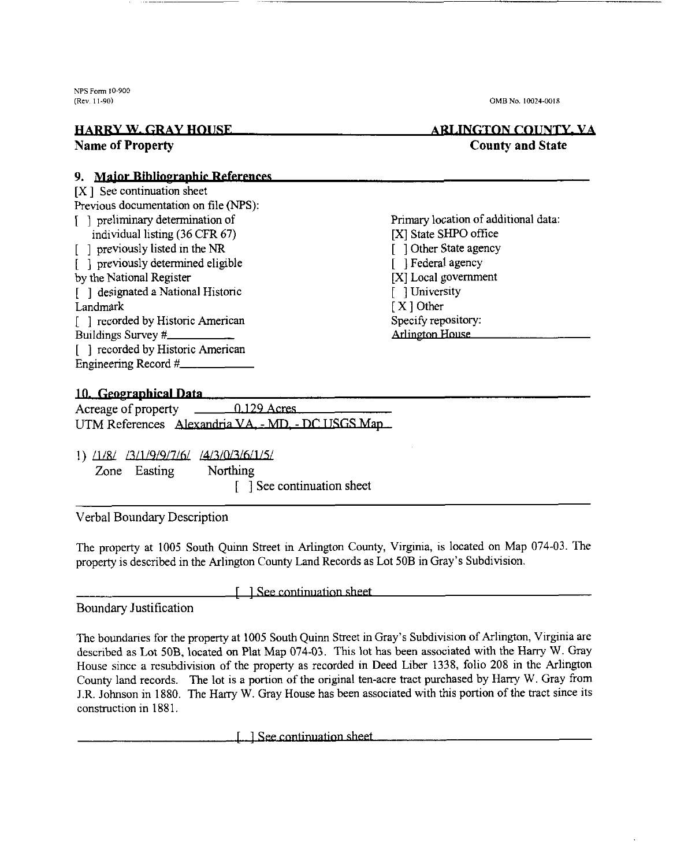WS Form **10-900** 

#### **(Rev 11-90) OMB No. 10(124-0018**

#### **EXAMPLE ARLINGTON COUNTY, VALUATE ARLINGTON COUNTY, VALUATE ARLINGTON COUNTY, VALUATE ARLINGTON COUNTY, VALUATE** Name **of Property County and State**

#### 9. Maior Bibliographic References

[X ] See continuation sheet Previous documentation on file (NPS): [ ] preliminary determination of Primary location of additional data:<br>
individual listing (36 CFR 67) [X] State SHPO office individual listing (36 CFR 67) [X] State SHPO office<br>previously listed in the NR [ ] Other State agency [ ] previously listed in the NR [ ] Other State age<br>
[ ] orieviously determined eligible<br>
[ ] Federal agency [ ] previously determined eligible [ ] Federal agency<br>by the National Register [ X] Local government by the National Register [X] Local gove<br>
[X] Local gove<br>
[1] designated a National Historic [1] University  $\lceil$  ] designated a National Historic Landmark [X ] Other<br>
[ 1 recorded by Historic American Specify repository: [ ] recorded by Historic American Specify repository<br>Buildings Survey # Arlington House Buildings Survey # [ ] recorded by Historic American Engineering Record #

#### 10. Geographical Data

| Acreage of property | $0.129$ Acres                                     |
|---------------------|---------------------------------------------------|
|                     | UTM References Alexandria VA. - MD. - DC USGS Man |

1)  $\frac{11}{8}$   $\frac{13}{11/9}$   $\frac{16}{16}$   $\frac{14}{3}$   $\frac{13}{0.3}$   $\frac{15}{12}$ 

Zone Easting

[ ] See continuation sheet

#### Verbal Boundary Description

The property at 1005 South Quinn Street in Arlington County, Virgnia, is located on Map 074-03. The property is described in the Arlington County Land Records as Lot 50B in Gray's Subdivision.

Boundary Justification

1 See continuation sheet

The boundaries for the property at 1005 South Quinn Street in Gray's Subdivision of Arlington, Virginia are described as Lot 50B, located on Plat Map 074-03. This lot has been associated with the Harry W. Gray House since a resubdivision of the property as recorded in Deed Liber 1338, folio 208 in the Arlington County land records. The lot is a portion of the original ten-acre tract purchased by Harry W. Gray from J.R. Johnson in 1880. The Harry W. Gray House has been associated with this portion of the tract since its construction in 1881.

[11] See continuation sheet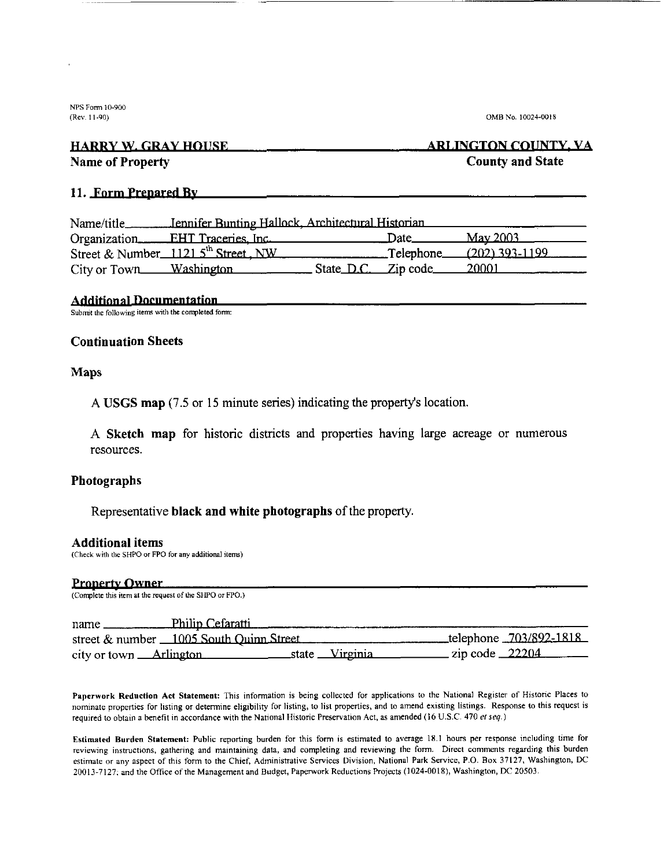NF'S **Form** 10-900

(Rev. 11-90) **OMB** No. 10024-0018

#### **HARRY W. GRAY HOUSE Name of Property County and State**

## **ARLINGTON COUNTY, VA**

#### **11. Jorm Prepared Rv**

| Name/title_____         | Jennifer Bunting Hallock, Architectural Historian |                                                             |              |                  |
|-------------------------|---------------------------------------------------|-------------------------------------------------------------|--------------|------------------|
|                         | Organization <b>EHT</b> Traceries, Inc.           | the control of the control of the control of the control of | — Date.      | <u>May 2003.</u> |
|                         | Street & Number 1121 $5^{th}$ Street, NW          |                                                             | __Telephone_ | $(202)$ 393-1199 |
| City or Town Washington |                                                   | State D.C. Zip code                                         |              | - 20001          |

#### **Additional Documentation**

Submit the following items with the completed form:

#### **Continuation Sheets**

#### **Maps**

**A USGS map** (7.5 or **15** minute series) indicating the property's location.

**A Sketch map** for historic districts and properties having large acreage or numerous resources.

#### **Photographs**

#### Representative **black and white photographs** of the property.

#### **Additional items**

| <b>Additional items</b> | (Check with the SHPO or FPO for any additional items)   |                            |
|-------------------------|---------------------------------------------------------|----------------------------|
| <b>Property Owner</b>   |                                                         |                            |
|                         | (Complete this item at the request of the SHPO or FPO.) |                            |
| $name \_$               | Philip Cefaratti                                        |                            |
|                         | street & number 1005 South Quinn Street                 | telephone 703/892-1818     |
|                         | city or town Arlington state Virginia                   | zip code $\frac{22204}{ }$ |

Paperwork Reduction Act Statement: This information is being collected for applications to the National Register of Historic Places to nominate properties for listing or determine eligibility for listing, to list properties, and to amend existing listings. Response to this request is required to obtain a benefit in accordance with the National Historic Preservation Act, as amended (16 U.S.C. 470 et seq.)

Estimated Burden Statement: Public reporting burden for this form is estimated to average 18.1 hours per response including time for reviewing instructions, gathering and maintaining data, and completing and reviewing the form. Direct comments regarding this burden estimate or any aspect of thts form to the Chief, Administrative Services Division, National Park Service, PO. **Box** 37127. Washington, **DC**  20013-7127: and the Ofiice of the Management and Budget, Paperwork Reductions Projects (1024-0018), Washington, DC 20503.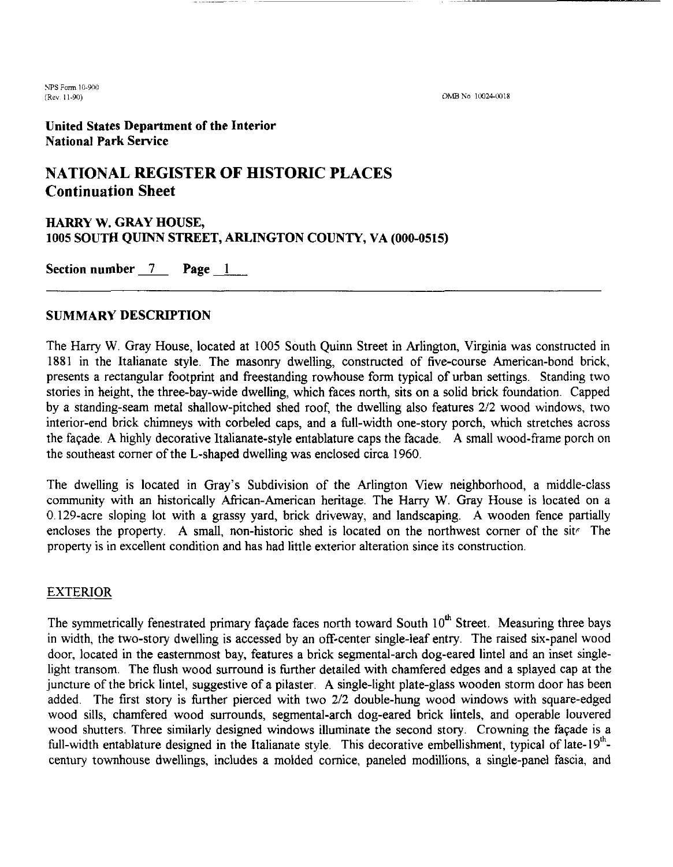*9s* **Farm** 10~900 (Rev 11-90)

OMB No 10024-0018

United States Department of the Interior National Park Service

### **NATIONAL REGISTER OF HISTORIC PLACES Continuation Sheet**

# HARRY W. GRAY HOUSE, 1005 SOUTH QUINN STREET, ARLINGTON COUNTY, VA (000-0515) NATIONAL REGISTER OF HIST<br>
Continuation Sheet<br>
HARRY W. GRAY HOUSE,<br>
1005 SOUTH QUINN STREET, ARLINGTO<br>
Section number 7 Page 1

#### SUMMARY DESCRIPTION

The Harry W. Gray House, located at 1005 South Quinn Street in Arlington, Virginia was constructed in 1881 in the Italianate style. The masonry dwelling, constructed of five-course American-bond brick, presents a rectangular footprint and freestanding rowhouse form typical of urban settings. Standing two stories in height, the three-bay-wide dwelling, which faces north, sits on a solid brick foundation. Capped by a standing-seam metal shallow-pitched shed roof, the dwelling also features 212 wood windows, two interior-end brick chimneys with corbeled caps, and a full-width one-story porch, which stretches across the faqade. **A** highly decorative Italianate-style entablature caps the facade. **A** small wood-frame porch on the southeast comer of the L-shaped dwelling was enclosed circa 1960.

The dwelling is located in Gray's Subdivision of the Arlington View neighborhood, a middle-class community with an historically African-American heritage. The Harry W. Gray House is located on a 0129-acre sloping lot with a grassy yard, brick driveway, and landscaping. **A** wooden fence partially encloses the property. A small, non-historic shed is located on the northwest corner of the sit. The property is in excellent condition and has had little exterior alteration since its construction.

#### EXTERIOR

The symmetrically fenestrated primary façade faces north toward South  $10^{th}$  Street. Measuring three bays in width, the two-story dwelling is accessed by an off-center single-leaf entry. The raised six-panel wood door, located in the easternmost bay, features a brick segmental-arch dog-eared lintel and an inset singlelight transom. The flush wood surround is further detailed with chamfered edges and a splayed cap at the juncture of the brick lintel, suggestive of a pilaster. **A** single-light plate-glass wooden storm door has been added. The first story is further pierced with two 2/2 double-hung wood windows with square-edged wood sills, chamfered wood surrounds, segmental-arch dog-eared brick lintels, and operable louvered wood shutters. Three similarly designed windows illuminate the second story. Crowning the faqade is a full-width entablature designed in the Italianate style. This decorative embellishment, typical of late-19<sup>th</sup>century townhouse dwellings, includes a molded cornice, paneled modillions, a single-panel fascia, and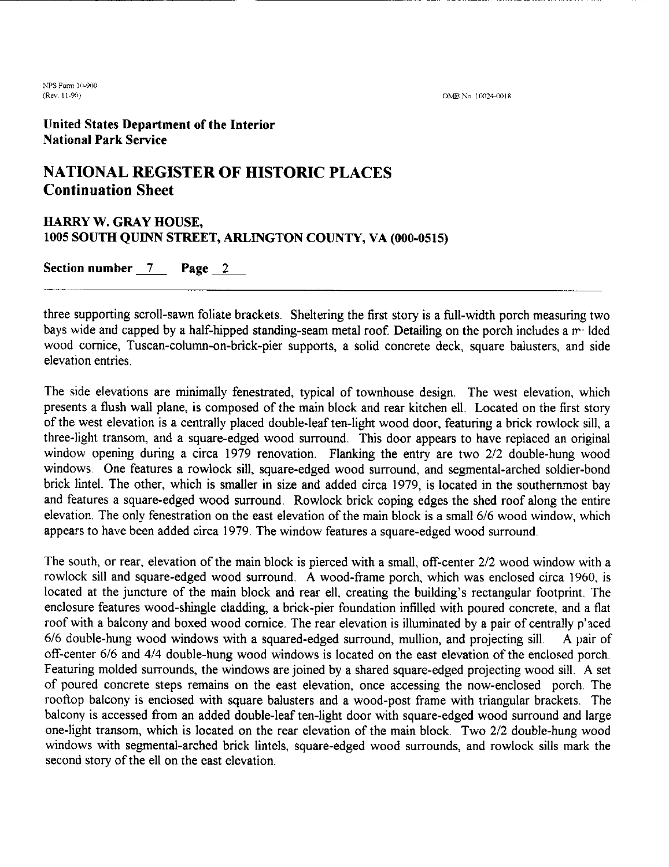**NPS Form 10-900** (Re\ I I **00,** 

#### **United States Department of the Interior National Park Service**

#### **NATIONAL REGISTER OF HISTORIC PLACES Continuation Sheet**

### **HARRY W. GRAY HOUSE, 1005 SOUTH QUINN STREET, ARLINGTON COUNTY, VA (000-0515) HARRY W. GRAY HOUSE,<br>1005 SOUTH QUINN STREET, ARLING<br>Section number <u>7</u> Page 2**

three supporting scroll-sawn foliate brackets. Sheltering the first story is a full-width porch measuring two bays wide and capped by a half-hipped standing-seam metal roof. Detailing on the porch includes a method wood cornice, Tuscan-column-on-brick-pier supports, a solid concrete deck, square balusters, and side elevation entries.

The side elevations are minimally fenestrated, typical of townhouse design. The west elevation, which presents a flush wall plane, is composed of the main block and rear kitchen ell. Located on the first story of the west elevation is a centrally placed double-leaf ten-light wood door, featuring a brick rowlock sill, a three-light transom, and a square-edged wood surround. This door appears to have replaced an original window opening during a circa 1979 renovation. Flanking the entry are two 212 double-hung wood windows. One features a rowlock sill, square-edged wood surround, and segmental-arched soldier-bond brick lintel. The other, which is smaller in size and added circa 1979, is located in the southernmost bay and features a square-edged wood surround. Rowlock brick coping edges the shed roof along the entire elevation. The only fenestration on the east elevation of the main block is a small 616 wood window, which appears to have been added circa 1979. The window features a square-edged wood surround.

The south, or rear, elevation of the main block is pierced with a small, off-center 212 wood window with a rowlock sill and square-edged wood surround. A wood-frame porch, which was enclosed circa 1960, is located at the juncture of the main block and rear ell, creating the building's rectangular footprint. The enclosure features wood-shingle cladding, a brick-pier foundation infilled with poured concrete, and a flat roof with a balcony and boxed wood cornice. The rear elevation is illuminated by a pair of centrally p'aced 616 double-hung wood windows with a squared-edged surround, mullion, and projecting sill. A pair of off-center 6/6 and 4/4 double-hung wood windows is located on the east elevation of the enclosed porch. Featuring molded surrounds, the windows are joined by a shared square-edged projecting wood sill. A set of poured concrete steps remains on the east elevation, once accessing the now-enclosed porch. The rooftop balcony is enclosed with square balusters and a wood-post frame with triangular brackets. The balcony is accessed from an added double-leaf ten-light door with square-edged wood surround and large one-light transom, which is located on the rear elevation of the main block. Two 212 double-hung wood windows with segmental-arched brick lintels, square-edged wood surrounds, and rowlock sills mark the second story of the ell on the east elevation.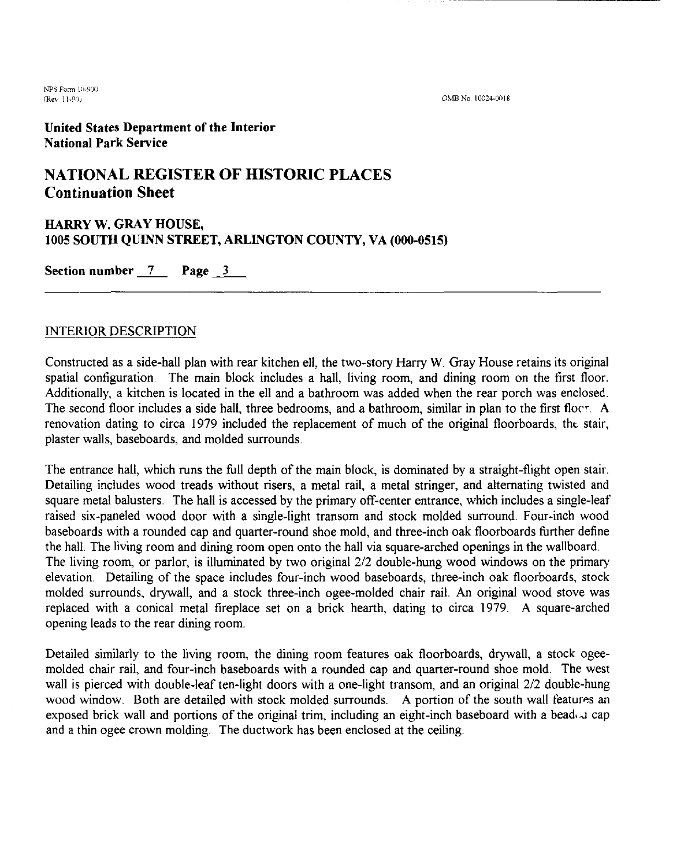**NPS Form** Ill-OCc **(Rev. 11-90)** 

OMB No. 10024-0018

#### **United States Department of the Interior National Park Service**

#### **NATIONAL REGISTER OF HISTORIC PLACES Continuation Sheet**

### **HARRY W. GRAY HOUSE, 1005 SOUTH QUINN STREET, ARLINGTON COUNTY, VA (000-0515) HARRY W. GRAY HOUSE,<br>1005 SOUTH QUINN STREET, A**<br>Section number <u>7</u> Page 3

#### INTERIOR DESCRIPTION

Constructed as a side-hall plan with rear kitchen ell, the two-story Harry W. Gray House retains its original spatial configuration. The main block includes a hall, living room, and dining room on the first floor. Additionally, a kitchen is located in the ell and a bathroom was added when the rear porch was enclosed. The second floor includes a side hall, three bedrooms, and a bathroom, similar in plan to the first flocy. A renovation dating to circa 1979 included the replacement of much of the original floorboards, the stair, plaster walls, baseboards, and molded surrounds.

The entrance hall, which runs the full depth of the main block, is dominated by a straight-flight open stair. Detailing includes wood treads without risers, a metal rail, a metal stringer, and alternating twisted and square metal balusters. The hall is accessed by the primary off-center entrance, which includes a single-leaf raised six-paneled wood door with a single-light transom and stock molded surround. Four-inch wood baseboards with a rounded cap and quarter-round shoe mold, and three-inch oak floorboards further define the hall. The living room and dining room open onto the hall via square-arched openings in the wallboard. The living room, or parlor, is illuminated by two original *212* double-hung wood windows on the primary elevation. Detailing of the space includes four-inch wood baseboards, three-inch oak floorboards, stock molded surrounds, drywall, and a stock three-inch ogee-molded chair rail. An original wood stove was replaced with a conical metal fireplace set on a brick hearth, dating to circa 1979. A square-arched opening leads to the rear dining room.

Detailed similarly to the living room, the dining room features oak floorboards, drywall, a stock ogeemolded chair rail, and four-inch baseboards with a rounded cap and quarter-round shoe mold. The west wall is pierced with double-leaf ten-light doors with a one-light transom, and an original *212* double-hung wood window. Both are detailed with stock molded surrounds. A portion of the south wall features an exposed brick wall and portions of the original trim, including an eight-inch baseboard with a bead  $\omega$  cap and a thin ogee crown molding. The ductwork has been enclosed at the ceiling.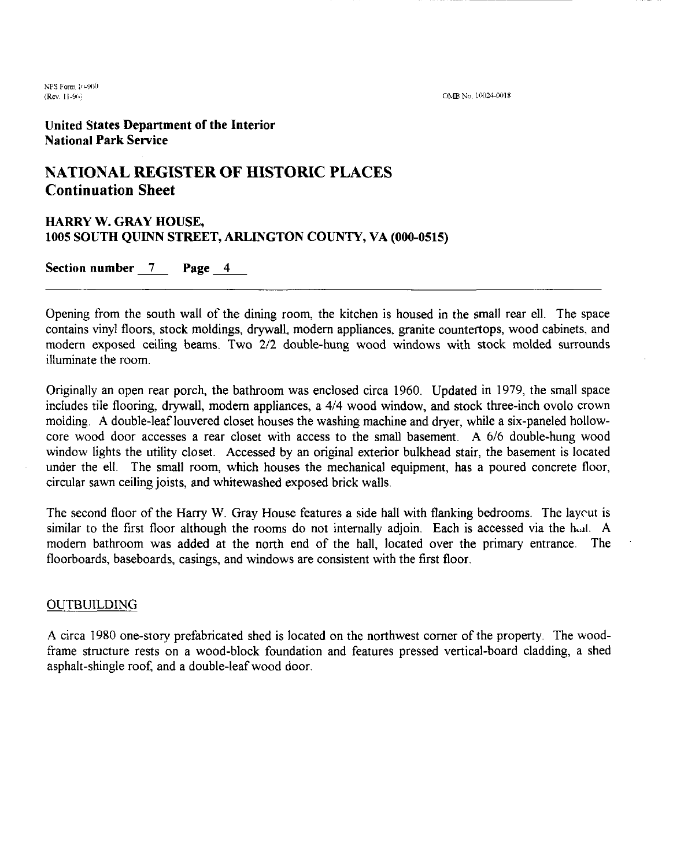**United States Department of the Interior National Park Service** 

#### **NATIONAL REGISTER OF HISTORIC PLACES Continuation Sheet**

### **HARRY W. GRAY HOUSE, 1005 SOUTH QUINN STREET, ARLINGTON COUNTY, VA (000-0515) HARRY W. GRAY HOUSE,<br>1005 SOUTH QUINN STREET, A**<br>Section number <u>7</u> Page <u>4</u>

Opening from the south wall of the dining room, the kitchen is housed in the small rear ell. The space contains vinyl floors, stock moldings, drywall, modem appliances, granite countertops, wood cabinets, and modern exposed ceiling beams. Two 2/2 double-hung wood windows with stock molded surrounds illuminate the room.

Originally an open rear porch, the bathroom was enclosed circa 1960. Updated in 1979, the small space includes tile flooring, drywall, modem appliances, a 414 wood window, and stock three-inch ovolo crown molding. A double-leaf louvered closet houses the washing machine and dryer, while a six-paneled hollowcore wood door accesses a rear closet with access to the small basement. A 6/6 double-hung wood window lights the utility closet. Accessed by an original exterior bulkhead stair, the basement is located under the ell. The small room, which houses the mechanical equipment, has a poured concrete floor, circular sawn ceiling joists, and whitewashed exposed brick walls.

The second floor of the Hany W. Gray House features a side hall with flanking bedrooms. The laycut is similar to the first floor although the rooms do not internally adjoin. Each is accessed via the hall. A modem bathroom was added at the north end of the hall, located over the primary entrance. The floorboards, baseboards, casings, and windows are consistent with the first floor.

#### OUTBUILDING

A circa 1980 one-story prefabricated shed is located on the northwest comer of the property The woodframe structure rests on a wood-block foundation and features pressed vertical-board cladding, a shed asphalt-shingle roof, and a double-leaf wood door.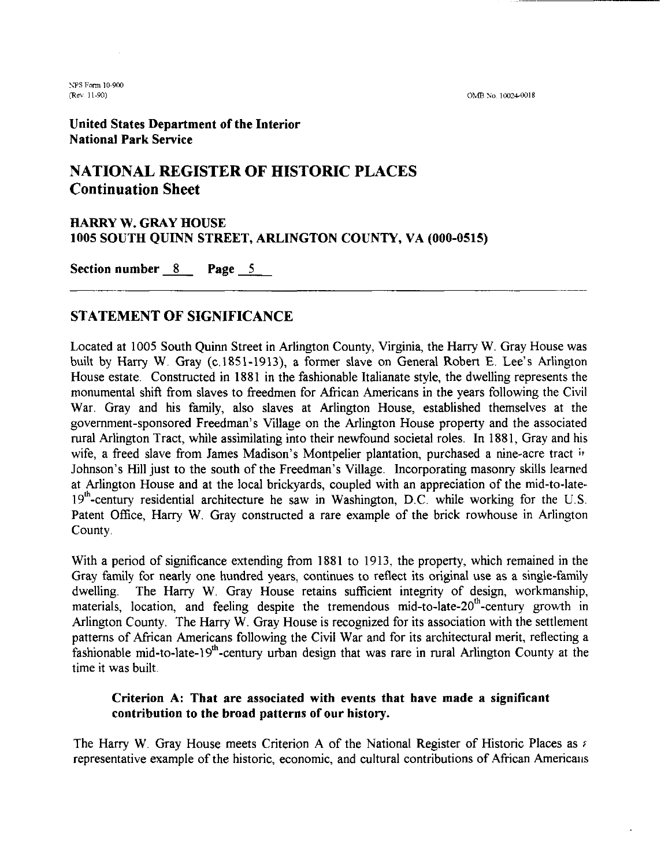OMB No. 10024-0018

United States Department of the Interior National Park Service

#### **NATIONAL REGISTER OF HISTORIC PLACES Continuation Sheet**

# HARRY W. GRAY HOUSE **1005** SOUTH QUINN STREET, ARLINGTON COUNTY, VA **(000-0515)**  Continuation Sheet<br>
HARRY W. GRAY HOUSE<br>
1005 SOUTH QUINN STREET, ARLING<br>
Section number <u>8</u> Page 5

#### **STATEMENT OF SIGNIFICANCE**

Located at 1005 South Quinn Street in Arlington County, Virginia, the Hany W. Gray House was built by Harry W. Gray (c.1851-1913), a former slave on General Robert E. Lee's Arlington House estate. Constructed in 1881 in the fashionable Italianate style, the dwelling represents the monumental shift from slaves to freedmen for African Americans in the years following the Civil War. Gray and his family, also slaves at Arlington House, established themselves at the government-sponsored Freedman's Village on the Arlington House property and the associated rural Arlington Tract, while assimilating into their newfound societal roles. In 1881, Gray and his wife, a freed slave from James Madison's Montpelier plantation, purchased a nine-acre tract **ir**  Johnson's Hill just to the south of the Freedman's Village. Incorporating masonry skills learned at Arlington House and at the local brickyards, coupled with an appreciation of the mid-to-late- $19<sup>th</sup>$ -century residential architecture he saw in Washington, D.C. while working for the U.S. Patent Office, Harry W. Gray constructed a rare example of the brick rowhouse in Arlington County.

With a period of significance extending from 1881 to 1913, the property, which remained in the Gray family for nearly one hundred years, continues to reflect its original use as a single-family dwelling. The Harry W. Gray House retains sufficient integrity of design, workmanship, materials, location, and feeling despite the tremendous mid-to-late-20<sup>th</sup>-century growth in Arlington County. The Harry W. Gray House is recognized for its association with the settlement patterns of AFrican Americans following the Civil War and for its architectural merit, reflecting a fashionable mid-to-late-19<sup>th</sup>-century urban design that was rare in rural Arlington County at the time it was built

#### Criterion **A:** That are associated with events that have made a significant contribution to the broad patterns of our history.

The Harry W. Gray House meets Criterion **A** of the National Register of Historic Places as : representative example of the historic, economic, and cultural contributions of African Americaus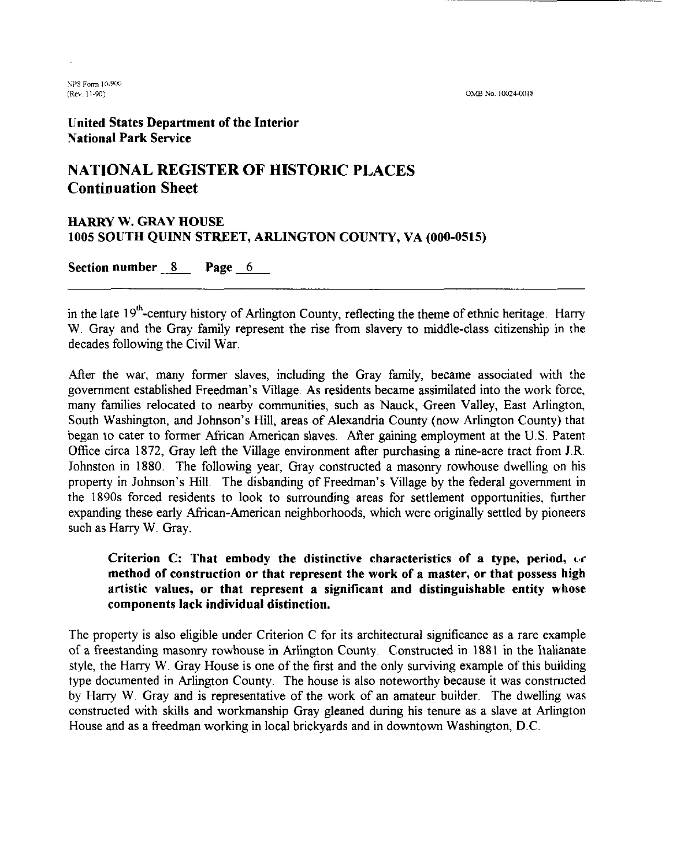**United States Department of the Interior National Park Service** 

#### **NATIONAL REGISTER OF HISTORIC PLACES Continuation Sheet**

## **HARRY W. GRAY HOUSE 1005 SOUTH QUINN STREET, ARLINGTON COUNTY, VA (000-0515) HARRY W. GRAY HOUSE<br>1005 SOUTH QUINN STREET, ARLINGTO<br>Section number 8 Page 6**

in the late 19<sup>th</sup>-century history of Arlington County, reflecting the theme of ethnic heritage. Harry W. Gray and the Gray family represent the rise from slavery to middle-class citizenship in the decades following the Civil War.

After the war, many former slaves, including the Gray family, became associated with the government established Freedman's Village. As residents became assimilated into the work force, many families relocated to nearby communities, such as Nauck, Green Valley, East Arlington, South Washington, and Johnson's Hill, areas of Alexandria County (now Arlington County) that began to cater to former African American slaves. After gaining employment at the U.S. Patent Office circa 1872, Gray left the Village environment after purchasing a nine-acre tract from J.R. Johnston in 1880. The following year, Gray constructed a masonry rowhouse dwelling on his property in Johnson's Hill. The disbanding of Freedman's Village by the federal government in the 1890s forced residents to look to surrounding areas for settlement opportunities, further expanding these early African-American neighborhoods, which were originally settled by pioneers such as Harry W. Gray.

**Criterion C: That embody the distinctive characteristics of a type, period,** *c,r*  **method of construction or that represent the work of a master, or that possess high artistic values, or that represent a significant and distinguishable entity whose components lack individual distinction.** 

The property is also eligible under Criterion C for its architectural significance as a rare example of a freestanding masonry rowhouse in Arlington County. Constructed in 1881 in the Italianate style, the Hany W. Gray House is one of the first and the only surviving example of this building type documented in Arlington County. The house is also noteworthy because it was constructed by Harry W. Gray and is representative of the work of an amateur builder. The dwelling was constructed with skills and workmanship Gray gleaned during his tenure as a slave at Arlington House and as a freedman working in local brickyards and in downtown Washington, D.C.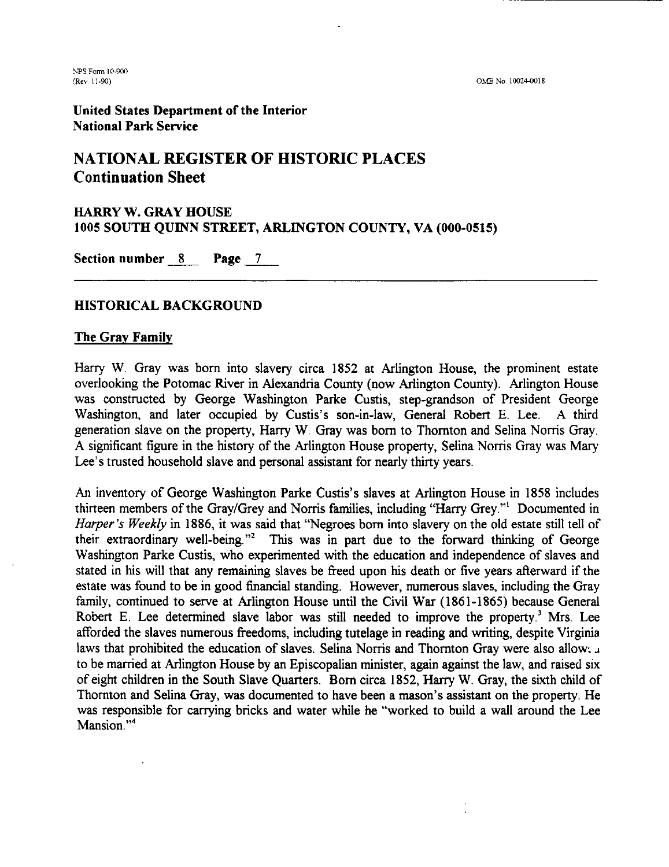United States Department of the Interior National Park Service

#### **NATIONAL REGISTER OF HISTORIC PLACES Continuation Sheet**

## HARRY W. GRAY HOUSE **1005** SOUTH QUINN STREET, ARLINGTON COUNTY, VA **(000-0515)**  HARRY W. GRAY HOUSE<br>1005 SOUTH QUINN STREET, ARLINGTON<br>Section number 8 **Page 7**

#### HISTORICAL BACKGROUND

#### The Gray Family

Harry W. Gray was born into slavery circa 1852 at Arlington House, the prominent estate overlooking the Potomac River in Alexandria County (now Arlington County). Arlington House was constructed by George Washington Parke Custis, step-grandson of President George Washington, and later occupied by Custis's son-in-law, General Robert E. Lee. A third generation slave on the property, Harry W. Gray was born to Thornton and Selina Noms Gray. A significant figure in the history of the Arlington House property, Selina Noms Gray was Mary Lee's trusted household slave and personal assistant for nearly thirty years.

An inventory of George Washington Parke Custis's slaves at Arlington House in 1858 includes thirteen members of the Gray/Grey and Norris families, including "Harry Grey."<sup>1</sup> Documented in Harper's Weekly in 1886, it was said that "Negroes born into slavery on the old estate still tell of their extraordinary well-being."2 This was in part due to the forward thinking of George Washington Parke Custis, who experimented with the education and independence of slaves and stated in his will that any remaining slaves be freed upon his death or five years afterward if the estate was found to be in good financial standing. However, numerous slaves, including the Gray family, continued to serve at Arlington House until the Civil War (1861-1865) because General Robert E. Lee determined slave labor was still needed to improve the property.<sup>3</sup> Mrs. Lee afforded the slaves numerous freedoms, including tutelage in reading and writing, despite Virginia laws that prohibited the education of slaves. Selina Norris and Thornton Gray were also allow $\cdot$ . to be married at Arlington House by an Episcopalian minister, again against the law, and raised six of eight children in the South Slave Quarters. Born circa 1852, Harry W. Gray, the sixth child of Thornton and Selina Gray, was documented to have been a mason's assistant on the property. He was responsible for carrying bricks and water while he "worked to build a wall around the Lee Mansion."<sup>4</sup>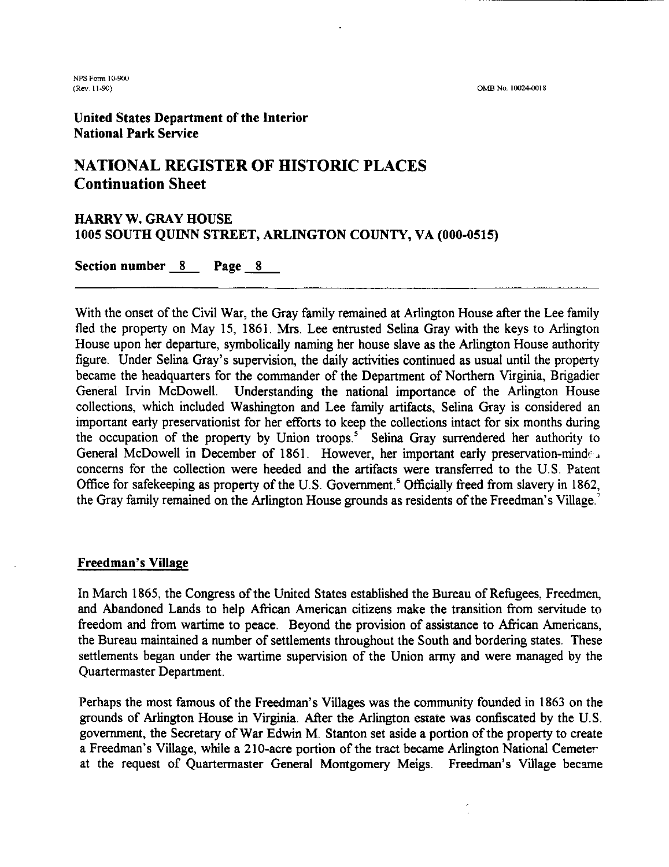$OMB$  **No. 10024-0018** 

**NPS Form 10-900**<br>(**Rev. 11-90**)

#### United States Department of the Interior National Park Service

#### **NATIONAL REGISTER OF HISTORIC PLACES Continuation Sheet**

### HARRY W. GRAY HOUSE **1005** SOUTH QUINN STREET, ARLINGTON COUNTY, VA **(000-0515)**  HAKKY W. GKAY HOUSE<br>1005 SOUTH QUINN STREET, *1*<br>Section number <u>8</u> Page <u>8</u>

With the onset of the Civil War, the Gray family remained at Arlington House after the Lee family fled the property on May 15, 1861. Mrs. Lee entrusted Selina Gray with the keys to Arlington House upon her departure, symbolically naming her house slave as the Arlington House authority figure. Under Selina Gray's supervision, the daily activities continued as usual until the property became the headquarters for the commander of the Department of Northern Virginia, Brigadier General Irvin McDowell. Understanding the national importance of the Arlington House collections, which included Washington and Lee family artifacts, Selina Gray is considered an important early preservationist for her efforts to keep the collections intact for six months during the occupation of the property by Union troops.<sup>5</sup> Selina Gray surrendered her authority to General McDowell in December of 1861. However, her important early preservation-minder concerns for the collection were heeded and Office for safekeeping as property of the U.S. Government.<sup>6</sup> Officially freed from slavery in 1862, the Gray family remained on the Arlington House grounds as residents of the Freedman's Village '

#### Freedman's Village

In March 1865, the Congress of the United States established the Bureau of Refugees, Freedmen, and Abandoned Lands to help African American citizens make the transition from servitude to freedom and from wartime to peace. Beyond the provision of assistance to African Americans, the Bureau maintained a number of settlements throughout the South and bordering states. These settlements began under the wartime supervision of the Union army and were managed by the Quartermaster Department.

Perhaps the most famous of the Freedman's Villages was the community founded in 1863 on the grounds of Arlington House in Virginia. Afier the Arlington estate was confiscated by the U.S. government, the Secretary of War Edwin M. Stanton set aside a portion of the property to create a Freedman's Village, while a 210-acre portion of the tract became Arlington National Cemeter at the request of Quartermaster General Montgomery Meigs. Freedman's Village becme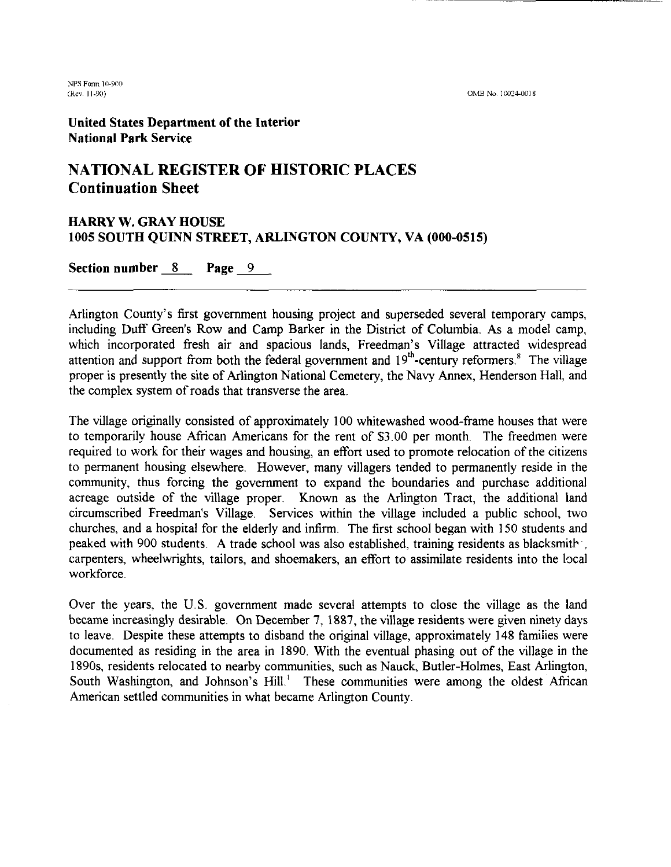OMB No. 10024-0018

NPS Form 10-900 (Rev. 11-90)

United States Department of the Interior National Park Service

### **NATIONAL REGISTER OF HISTORIC PLACES Continuation Sheet**

## HARRY W. GRAY HOUSE **1005** SOUTH QUINN STREET, ARLINGTON COUNTY, VA **(000-0515)**  HARRY W. GRAY HOUSE<br>1005 SOUTH QUINN STREET, ARLINGTON<br>Section number 8 **Page 9**

Arlington County's first government housing project and superseded several temporary camps, including Duff Green's Row and Camp Barker in the District of Columbia. As a model camp, which incorporated fresh air and spacious lands, Freedman's Village attracted widespread attention and support from both the federal government and  $19<sup>th</sup>$ -century reformers.<sup>8</sup> The village proper is presently the site of Arlington National Cemetery, the Navy Annex, Henderson Hall, and the complex system of roads that transverse the area.

The village originally consisted of approximately 100 whitewashed wood-frame houses that were to temporarily house African Americans for the rent of \$3.00 per month. The freedmen were required to work for their wages and housing, an effort used to promote relocation of the citizens to permanent housing elsewhere. However, many villagers tended to permanently reside in the community, thus forcing the govemment to expand the boundaries and purchase additional acreage outside of the village proper. Known as the Arlington Tract, the additional land circumscribed Freedman's Village. Services within the village included a public school, two churches, and a hospital for the elderly and infirm. The first school began with 150 students and peaked with 900 students. A trade school was also established, training residents as blacksmith , carpenters, wheelwrights, tailors, and shoemakers, an effort to assimilate residents into the local workforce.

Over the years, the U S. government made several attempts to close the village as the land became increasingly desirable. On December 7, 1887, the village residents were given ninety days to leave. Despite these attempts to disband the original village, approximately 148 families were documented as residing in the area in 1890. With the eventual phasing out of the village in the 1890s, residents relocated to nearby communities, such as Nauck, Butler-Holmes, East Arlington, South Washington, and Johnson's Hill.' These communities were among the oldest African American settled communities in what became Arlington County.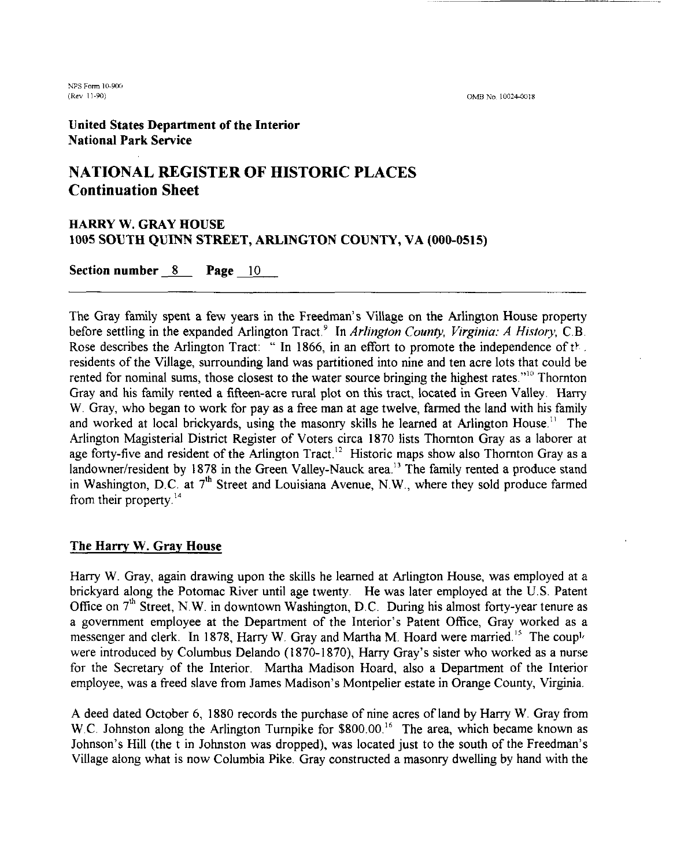*UPS* Form 1&90f1 (Rev 11-90)

OMB No. 10024-0018

**United States Department of the Interior National Park Service** 

#### **NATIONAL REGISTER OF HISTORIC PLACES Continuation Sheet**

### **HARRY W. GRAY HOUSE 1005 SOUTH QUINN STREET, ARLINGTON COUNTY, VA (000-0515) HARRY W. GRAY HOUSE<br>1005 SOUTH QUINN STREET, A**<br>Section number <u>8</u> Page <u>10</u>

The Gray family spent a few years in the Freedman's Village on the Arlington House property before settling in the expanded Arlington Tract.<sup>9</sup> In *Arlington County, Virginia: A History, C.B.* Rose describes the Arlington Tract: " In 1866, in an effort to promote the independence of the residents of the Village, surrounding land was partitioned into nine and ten acre lots that could be rented for nominal sums, those closest to the water source bringing the highest rates.<sup>"10</sup> Thornton Gray and his family rented a fifteen-acre rural plot on this tract, located in Green Valley. Hany W. Gray, who began to work for pay as a free man at age twelve, farmed the land with his family and worked at local brickyards, using the masonry skills he learned at Arlington House." The Arlington Magisterial District Register of Voters circa 1870 lists Thornton Gray as a laborer at age forty-five and resident of the Arlington Tract.<sup>12</sup> Historic maps show also Thornton Gray as a landowner/resident by 1878 in the Green Valley-Nauck area.<sup>13</sup> The family rented a produce stand in Washington, D.C. at 7<sup>th</sup> Street and Louisiana Avenue, N.W., where they sold produce farmed from their property. $^{14}$ 

#### **The Harry W. Gray House**

Hany W. Gray, again drawing upon the skills he learned at Arlington House, was employed at a brickyard along the Potomac River until age twenty. He was later employed at the U.S. Patent Office on  $7<sup>th</sup>$  Street, N.W. in downtown Washington, D.C. During his almost forty-year tenure as a government employee at the Department of the Interior's Patent Office, Gray worked as a messenger and clerk. In 1878, Harry W. Gray and Martha M. Hoard were married.<sup>15</sup> The couple were introduced by Columbus Delando (1870-1870), Harry Gray's sister who worked as a nurse for the Secretary of the Interior. Martha Madison Hoard, also a Department of the Interior employee, was a freed slave from James Madison's Montpelier estate in Orange County, Virginia.

A deed dated October 6, 1880 records the purchase of nine acres of land by Harry W. Gray from W.C. Johnston along the Arlington Turnpike for \$800.00.<sup>16</sup> The area, which became known as Johnson's Hill (the t in Johnston was dropped), was located just to the south of the Freedman's Village along what is now Columbia Pike. Gray constructed a masonry dwelling by hand with the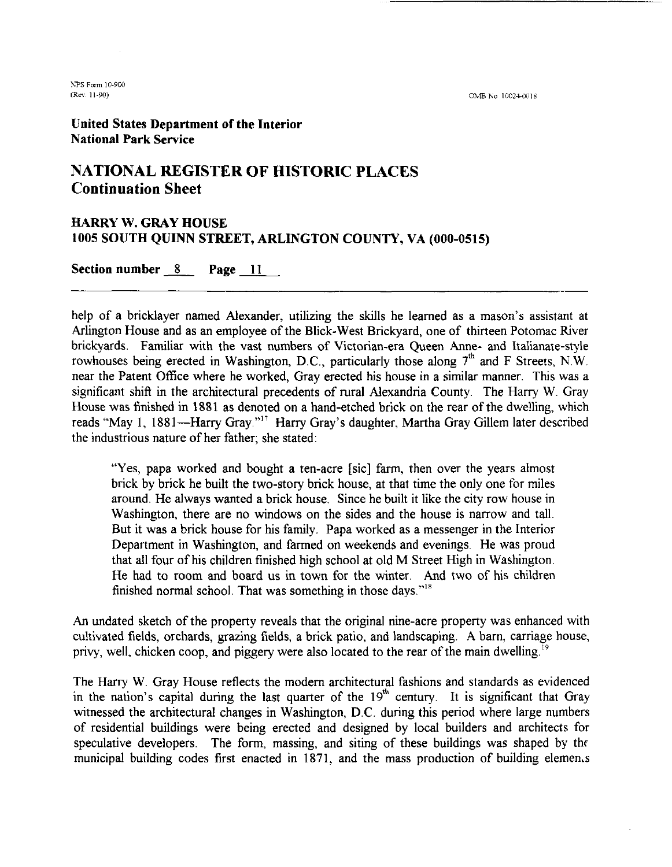OMB No 10024-0018

**ITS** Form 10-900 (Re\' 11-90)

United States Department of the Interior National Park Service

#### **NATIONAL REGISTER OF HISTORIC PLACES Continuation Sheet**

### HARRY W. GRAY HOUSE **1005** SOUTH QUINN STREET, ARLINGTON COUNTY, VA **(000-0515)**  HARRY W. GRAY HOUSE<br>1005 SOUTH QUINN STREET, A<br>Section number <u>8</u> Page 11

help of a bricklayer named Alexander, utilizing the skills he learned as a mason's assistant at Arlington House and as an employee of the Blick-West Brickyard, one of thirteen Potomac River brickyards. Familiar with the vast numbers of Victorian-era Queen Anne- and Italianate-style rowhouses being erected in Washington, D.C., particularly those along  $7<sup>th</sup>$  and F Streets, N.W. near the Patent Office where he worked, Gray erected his house in a similar manner. This was a significant shift in the architectural precedents of rural Alexandria County. The Harry W. Gray House was finished in 1881 as denoted on a hand-etched brick on the rear of the dwelling, which reads "May 1, 1881-Harry Gray."<sup>17</sup> Harry Gray's daughter, Martha Gray Gillem later described the industrious nature of her father: she stated:

"Yes, papa worked and bought a ten-acre [sic] farm, then over the years almost brick by brick he built the two-story brick house, at that time the only one for miles around. He always wanted a brick house. Since he built it like the city row house in Washington, there are no windows on the sides and the house is narrow and tall. But it was a brick house for his family. Papa worked as a messenger in the Interior Department in Washington, and famed on weekends and evenings. He was proud that all four of his children finished high school at old M Street High in Washington. He had to room and board us in town for the winter. And two of his children finished normal school. That was something in those days."<sup>18</sup>

**An** undated sketch of the property reveals that the original nine-acre property was enhanced with cultivated fields, orchards, grazing fields, a brick patio, and landscaping. **A** barn, carriage house, privy, well, chicken coop, and piggery were also located to the rear of the main dwelling.<sup>19</sup>

The Harry W. Gray House reflects the modem architectural fashions and standards as evidenced in the nation's capital during the last quarter of the  $19<sup>th</sup>$  century. It is significant that Gray witnessed the architectural changes in Washington, D.C. during this period where large numbers of residential buildings were being erected and designed by local builders and architects for speculative developers. The form, massing, and siting of these buildings was shaped by thr municipal building codes first enacted in 1871, and the mass production of building elemen.s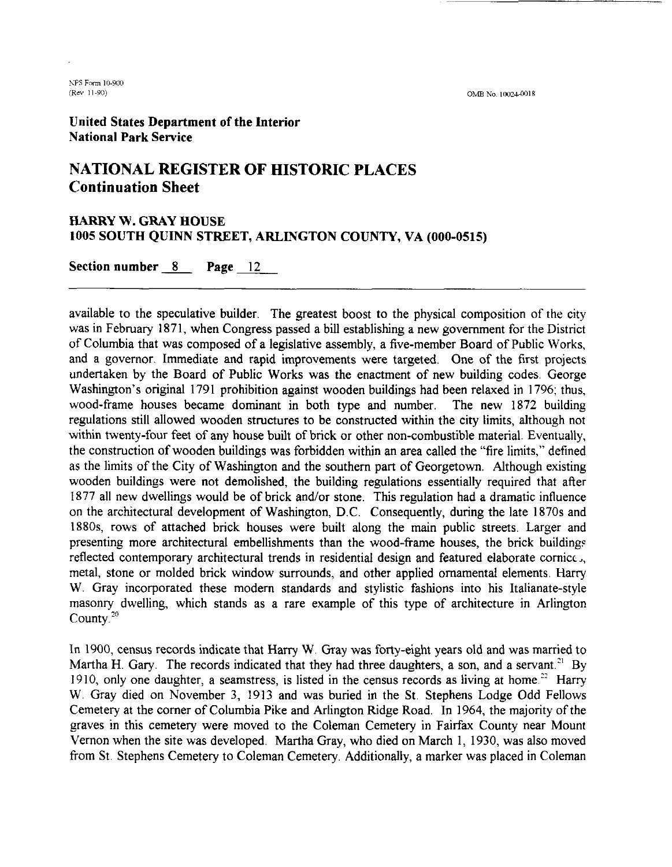**(Rw 1** 1-90) OMB No **1002.1-0018** 

United States Department of the Interior National Park Service

#### **NATIONAL REGISTER OF HISTORIC PLACES Continuation Sheet**

#### HARRY W. GRAY HOUSE **1005** SOUTH **QUINN** STREET, ARLINGTON COUNTY, VA **(000-0515)**

Section number *8* Page 12

available to the speculative builder. The greatest boost to the physical composition of the city was in February 1871, when Congress passed a bill establishing a new government for the District of Columbia that was composed of a legislative assembly, a five-member Board of Public Works, and a governor. Immediate and rapid improvements were targeted. One of the first projects undertaken by the Board of Public Works was the enactment of new building codes. George Washington's original 1791 prohibition against wooden buildings had been relaxed in 1796; thus, wood-frame houses became dominant in both type and number. The new 1872 building regulations still allowed wooden structures to be constructed within the city limits, although not within twenty-four feet of any house built of brick or other non-combustible material. Eventually, the construction of wooden buildings was forbidden within an area called the "fire limits," defined as the limits of the City of Washington and the southern part of Georgetown. Although existing wooden buildings were not demolished, the building regulations essentially required that after 1877 all new dwellings would be of brick and/or stone. This regulation had a dramatic influence on the architectural development of Washington, D.C. Consequently, during the late 1870s and 1880s, rows of attached brick houses were built along the main public streets. Larger and presenting more architectural embellishments than the wood-frame houses, the brick buildings reflected contemporary architectural trends in residential design and featured elaborate cornice,, metal, stone or molded brick window surrounds, and other applied ornamental elements. Harry W. Gray incorporated these modem standards and stylistic fashions into his Italianate-style masonry dwelling, which stands as a rare example of this type of architecture in Arlington County<sup>20</sup>

In 1900, census records indicate that Harry W. Gray was forty-eight years old and was married to Martha H. Gary. The records indicated that they had three daughters, a son, and a servant.<sup>21</sup> By 1910, only one daughter, a seamstress, is listed in the census records as living at home.<sup>22</sup> Harry W. Gray died on November 3, 1913 and was buried in the St. Stephens Lodge Odd Fellows Cemetery at the comer of Columbia Pike and Arlington Ridge Road. In 1964, the majority of the graves in this cemetery were moved to the Coleman Cemetery in Fairfax County near Mount Vernon when the site was developed. Martha Gray, who died on March 1, 1930, was also moved from St. Stephens Cemetery to Coleman Cemetery. Additionally, a marker was placed in Coleman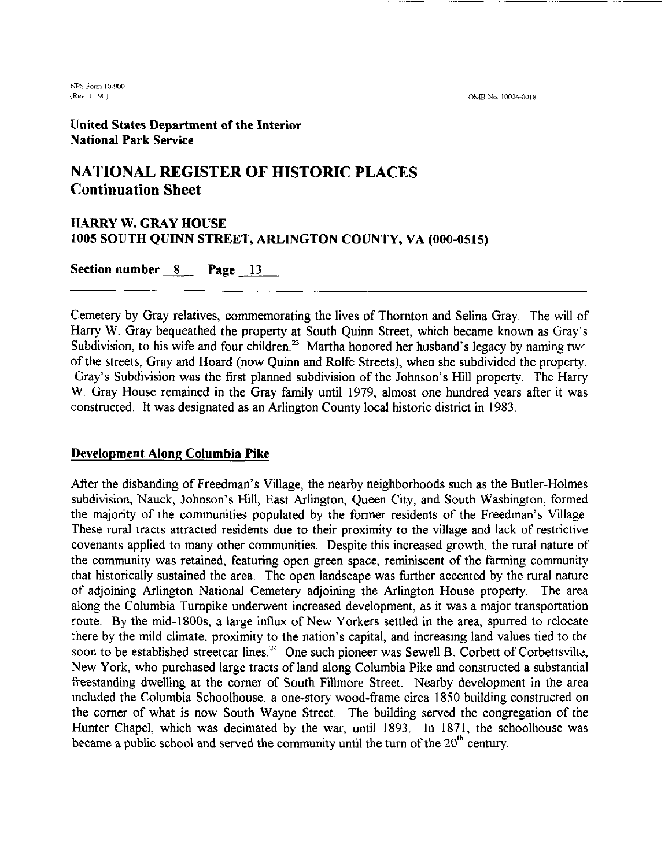OMB No. 10024-0018

United States Department of the Interior National Park Service

#### **NATIONAL REGISTER OF HISTORIC PLACES Continuation Sheet**

### HARRY W. GRAY HOUSE **1005** SOUTH QUINN STREET, ARLINGTON COUNTY, VA **(000-0515) HARRY W. GRAY HOUSE**<br>1005 SOUTH QUINN STREET, A<br>Section number 8 Page 13

Cemetery by Gray relatives, commemorating the lives of Thomton and Selina Gray. The will of Harry W. Gray bequeathed the property at South Quinn Street, which became known as Gray's Subdivision, to his wife and four children.<sup>23</sup> Martha honored her husband's legacy by naming two of the streets, Gray and Hoard (now Quinn and Rolfe Streets), when she subdivided the property. Gray's Subdivision was the first planned subdivision of the Johnson's Hill property. The Harry W. Gray House remained in the Gray family until 1979, almost one hundred years after it was constructed. It was designated as an Arlington County local historic district in 1983.

#### Development Along Columbia Pike

After the disbanding of Freedman's Village, the nearby neighborhoods such as the Butler-Holmes subdivision, Nauck, Johnson's Hill, East Arlington, Queen City, and South Washington, formed the majority of the communities populated by the former residents of the Freedman's Village. These rural tracts attracted residents due to their proximity to the village and lack of restrictive covenants applied to many other communities. Despite this increased growth, the rural nature of the community was retained, featuring open green space, reminiscent of the farming community that historically sustained the area. The open landscape was hrther accented by the rural nature of adjoining Arlington National Cemetery adjoining the Arlington House property. The area along the Columbia Turnpike underwent increased development, as it was a major transportation route. By the mid-1800s, a large influx of New Yorkers settled in the area, spurred to relocate there by the mild climate, proximity to the nation's capital, and increasing land values tied to the soon to be established streetcar lines.<sup>24</sup> One such pioneer was Sewell B. Corbett of Corbettsville, New York, who purchased large tracts of land along Columbia Pike and constructed a substantial freestanding dwelling at the comer of South Fillmore Street. Nearby development in the area included the Columbia Schoolhouse, a one-story wood-frame circa 1850 building constructed on the comer of what is now South Wayne Street. The building served the congregation of the Hunter Chapel, which was decimated by the war, until 1893. In 1871, the schoolhouse was became a public school and served the community until the turn of the  $20<sup>th</sup>$  century.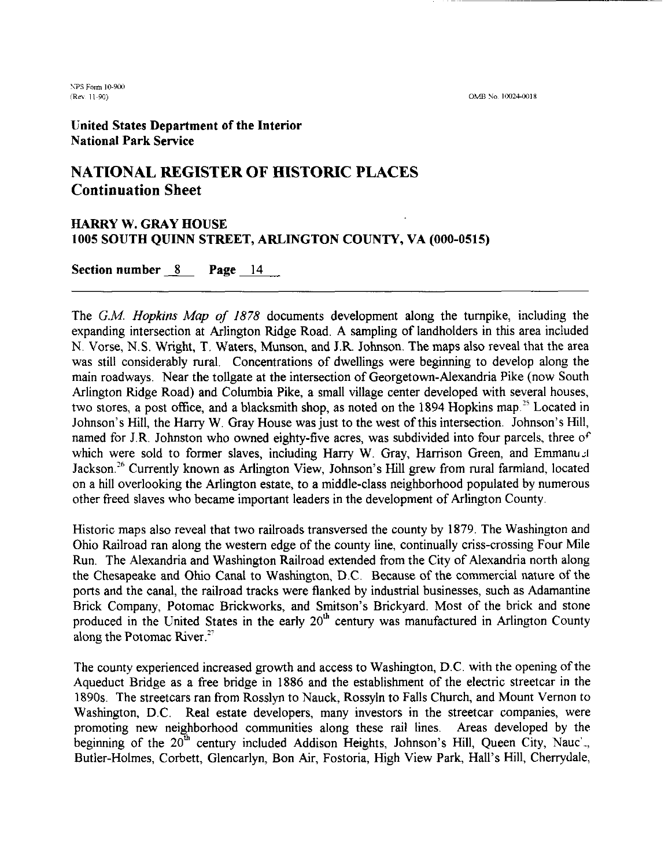(OMB No. 10024-0018)

United States Department of the Interior National Park Service

#### **NATIONAL REGISTER OF HISTORIC PLACES Continuation Sheet**

### HARRY W. GRAY HOUSE **1005** SOUTH QUINN STREET, ARLINGTON COUNTY, VA **(000-0515)**  HARRY W. GRAY HOUSE<br>1005 SOUTH QUINN STREET, A<br>Section number <u>8</u> Page 14

The G.M. **Hopkins** Map of 1878 documents development along the turnpike, including the expanding intersection at Arlington Ridge Road. A sampling of landholders in this area included N. Vorse, N.S. Wright, T. Waters, Munson, and J.R. Johnson. The maps also reveal that the area was still considerably rural. Concentrations of dwellings were beginning to develop along the main roadways. Near the tollgate at the intersection of Georgetown-Alexandria Pike (now South Arlington Ridge Road) and Columbia Pike, a small village center developed with several houses, two stores, a post office, and a blacksmith shop, as noted on the 1894 Hopkins map.<sup>25</sup> Located in Johnson's Hill, the Harry W. Gray House was just to the west of this intersection. Johnson's Hill, named for J.R. Johnston who owned eighty-five acres, was subdivided into four parcels, three of which were sold to former slaves, including Harry W. Gray, Harrison Green, and Emmanuel Jackson.<sup>26</sup> Currently known as Arlington View, Johnson's Hill grew from rural farmland, located on a hill overlooking the Arlington estate, to a middle-class neighborhood populated by numerous other freed slaves who became important leaders in the development of Arlington County.

Historic maps also reveal that two railroads transversed the county by 1879. The Washington and Ohio Railroad ran along the western edge of the county line, continually criss-crossing Four Mile Run. The Alexandria and Washington Railroad extended from the City of Alexandria north along the Chesapeake and Ohio Canal to Washington, D.C Because of the commercial nature of the ports and the canal, the railroad tracks were flanked by industrial businesses, such as Adamantine Brick Company, Potomac Brickworks, and Smitson's Brickyard. Most of the brick and stone produced in the United States in the early  $20<sup>th</sup>$  century was manufactured in Arlington County along the Potomac River.<sup>27</sup>

The county experienced increased growth and access to Washington, D.C. with the opening of the Aqueduct Bridge as a free bridge in 1886 and the establishment of the electric streetcar in the 1890s. The streetcars ran from Rosslyn to Nauck, Rossyln to Falls Church, and Mount Vernon to Washington, D.C. Real estate developers, many investors in the streetcar companies, were promoting new neighborhood communities along these rail lines. Areas developed by the beginning of the  $20^{\text{th}}$  century included Addison Heights, Johnson's Hill, Queen City, Nauc'., Butler-Holmes, Corbett, Glencarlyn, Bon Air, Fostoria, High View Park, Hall's Hill, Chenydale,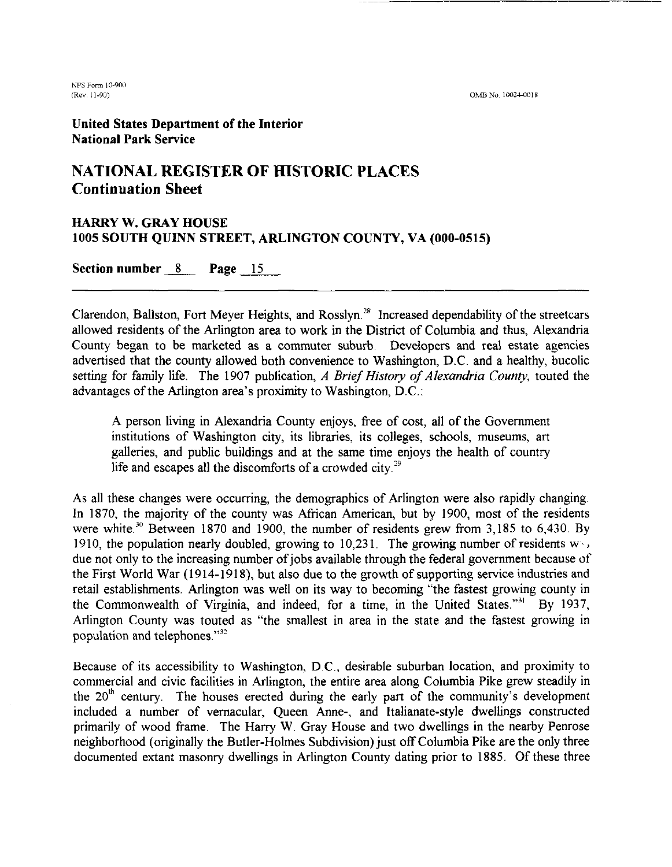**(Rev. 11-90)** OMB No 10024-0018

hPS Form 10-901,

United States Department of the Interior National Park Service

### **NATIONAL REGISTER OF HISTORIC PLACES Continuation Sheet**

### HARRY W. GRAY HOUSE **1005** SOUTH QUINN STREET, ARLINGTON COUNTY, VA **(000-0515)**  HARRY W. GRAY HOUSE<br>1005 SOUTH QUINN STREET, ARLING<br>Section number <u>8</u> Page <u>15</u>

Clarendon, Ballston, Fort Meyer Heights, and Rosslyn." Increased dependability of the streetcars allowed residents of the Arlington area to work in the District of Columbia and thus, Alexandria County began to be marketed as a commuter suburb. Developers and real estate agencies advertised that the county allowed both convenience to Washington, D.C. and a healthy, bucolic setting for family life. The 1907 publication, *A Brief* History *of Alexandria County,* touted the advantages of the Arlington area's proximity to Washington, D.C.:

A person living in Alexandria County enjoys, free of cost, all of the Government institutions of Washington city, its libraries, its colleges, schools, museums, art galleries, and public buildings and at the same time enjoys the health of country life and escapes all the discomforts of a crowded city. $29$ 

As all these changes were occurring, the demographics of Arlington were also rapidly changing. In 1870, the majority of the county was African American, but by 1900, most of the residents were white.<sup>30</sup> Between 1870 and 1900, the number of residents grew from 3,185 to 6,430. By 1910, the population nearly doubled, growing to 10,231. The growing number of residents  $w_1$ , due not only to the increasing number of jobs available through the federal government because of the First World War (1914-1918), but also due to the growth of supporting service industries and retail establishments. Arlington was well on its way to becoming "the fastest growing county in the Commonwealth of Virginia, and indeed, for a time, in the United States."<sup>31</sup> By 1937, Arlington County was touted as "the smallest in area in the state and the fastest growing in population and telephones. $"^{32}$ 

Because of its accessibility to Washington, D.C., desirable suburban location, and proximity to commercial and civic facilities in Arlington, the entire area along Columbia Pike grew steadily in the  $20<sup>th</sup>$  century. The houses erected during the early part of the community's development included a number of vernacular, Queen Anne-, and Italianate-style dwellings constructed primarily of wood frame. The Harry W. Gray House and two dwellings in the nearby Penrose neighborhood (originally the Butler-Holmes Subdivision) just off Columbia Pike are the only three documented extant masonry dwellings in Arlington County dating prior to 1885. Of these three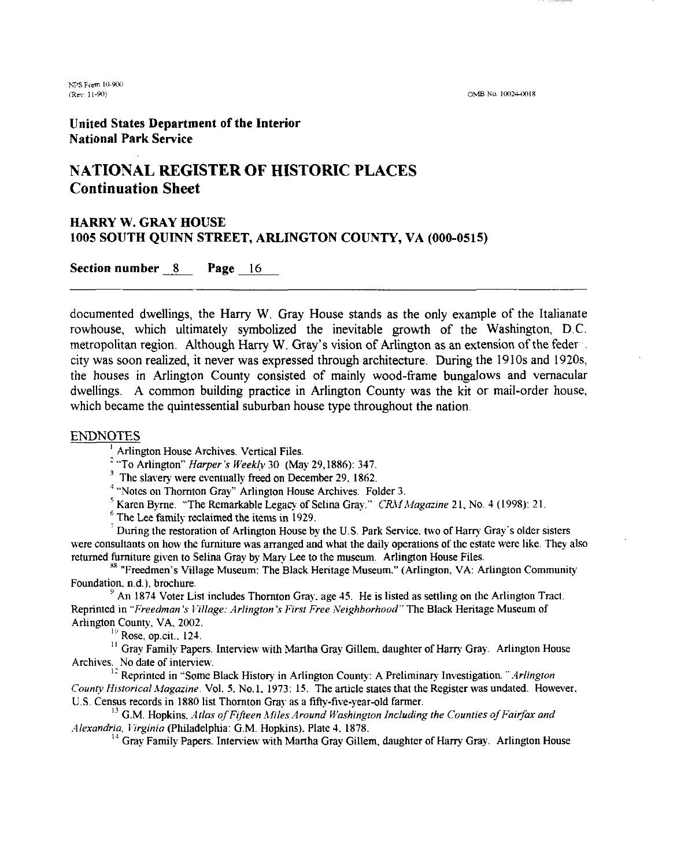OMB No. 10024-0018

United States Department of the Interior National Park Service

#### **NATIONAL REGISTER OF HISTORIC PLACES Continuation Sheet**

### HARRY W. GRAY HOUSE **1005** SOUTH QUINN STREET, ARLINGTON COUNTY, VA **(000-0515)**  HARRY W. GRAY HOUSE<br>1005 SOUTH QUINN STREET, ARLING<br>Section number <u>8</u> Page 16

documented dwellings, the Harry W. Gray House stands as the only example of the Italianate rowhouse, which ultimately symbolized the inevitable growth of the Washington, D.C. metropolitan region. Although Harry W. Gray's vision of Arlington as an extension of the feder city was soon realized, it never was expressed through architecture. During the 1910s and 1920s, the houses in Arlington County consisted of mainly wood-frame bungalows and vernacular dwellings. A common building practice in Arlington County was the kit or mail-order house, which became the quintessential suburban house type throughout the nation.

ENDNOTES<br><sup>1</sup> Arlington House Archives. Vertical Files.

- "To Arlington" *Harper's Weekly* 30 (May 29.1886): 347.

<sup>3</sup> The slavery were eventually freed on December 29, 1862.

<sup>4</sup> "Notes on Thornton Gray" Arlington House Archives. Folder 3.

<sup>5</sup> Karen Byrne. "The Remarkable Legacy of Selina Gray." *CRM Magazine* 21, No. 4 (1998): 21. <sup>6</sup>The Lee family reclaimed the items in 1929.

During the restoration of Arlington House by the U.S. Park Service. two of Harry Gray's older sisters were consultants on how the furniture was arranged and what the daily operations of the estate were like. They also<br>returned furniture given to Selina Gray by Mary Lee to the museum. Arlington House Files.

<sup>88</sup> "Freedmen's Village Museum: The Black Heritage Museum." (Arlington, VA: Arlington Community Foundation, n.d.), brochure.

 $^9$  An 1874 Voter List includes Thornton Gray, age 45. He is listed as settling on the Arlington Tract. Reprinted in *"Freedman's Village: Arlington's First Free Neighborhood"* The Black Heritage Museum of Arlington County, VA. 2002.

 $10$  Rose, op.cit., 124.

<sup>11</sup> Gray Family Papers. Interview with Martha Gray Gillem, daughter of Harry Gray. Arlington House Archives. No date of interview.

<sup>12</sup> Reprinted in "Some Black History in Arlington County: A Preliminary Investigation." *Arlington County Historical Magazine.* Vol. 5, No. 1, 1973: 15. The article states that the Register was undated. However, U.S. Census records in 1880 list Thomton Gray as a fifty-five-year-old farmer.

<sup>13</sup> G.M. Hopkins, *Atlas of Fifteen Miles Around Washington Including the Counties of Fairfax and .-llexandria, 1 irginia* (Philadelphia: G.M. Hopkins). Plate 4. 1878.

<sup>14</sup> Gray Family Papers. Interview with Martha Gray Gillem, daughter of Harry Gray. Arlington House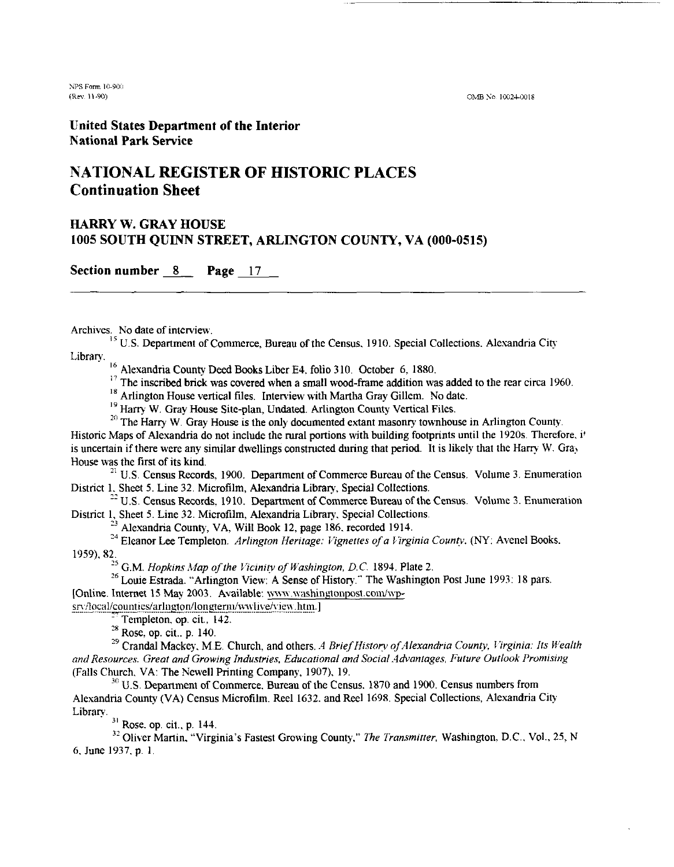**XPS** Form I(L9011 **iRm** 11-90)

OMB No. 10024-0018

**United States Department of the Interior National Park Service** 

#### **NATIONAL REGISTER OF HISTORIC PLACES Continuation Sheet**

#### **HARRY W. GRAY HOUSE 1005 SOUTH QUINN STREET, ARLINGTON COUNTY, VA (000-0515)**

**Section number** *8* **Page 17** 

Archives. No date of interview.<br><sup>15</sup> U.S. Department of Commerce, Bureau of the Census. 1910. Special Collections. Alexandria City Library.

<sup>16</sup> Alexandria County Deed Books Liber E4, folio 310. October 6, 1880.

<sup>17</sup> The inscribed brick was covered when a small wood-frame addition was added to the rear circa 1960.<br><sup>18</sup> Arlington House vertical files. Interview with Martha Gray Gillem. No date.

<sup>19</sup> Harry W. Gray House Site-plan, Undated. Arlington County Vertical Files.<br><sup>20</sup> The Harry W. Gray House is the only documented extant masonry townhouse in Arlington County. Historic Maps of Alexandria do not include the rural portions with building footprints until the 1920s. Therefore. it is uncertain if there were any similar dwellings constructed during that period. It is likely that the Harry W. Gray House was the first of its kind.

**<sup>21</sup>**U.S. Census Records, 1900. Department of Commerce Bureau of the Census. Volume 3. Enumeration District 1. Sheet 5. Line 32. Microfilm, Alexandria Library, Special Collections.

 $^{22}$  U.S. Census Records, 1910. Department of Commerce Bureau of the Census. Volume 3. Enumeration District 1, Sheet 5. Line 32. Microfilm, Alexandria Library, Special Collections.<br><sup>23</sup> Alexandria County, VA, Will Book 12, page 186, recorded 1914.

<sup>24</sup> Eleanor Lee Templeton. *Arlington Heritage: Vignettes of a Virginia County.* (NY: Avenel Books. 1959). 82.

<sup>25</sup> G.M. *Hopkins Map of the Vicinity of Washington, D.C.* 1894. Plate 2. *26* Louie Estrada. "Arlington View: A Sense of History." The Washington Post June 1993: 18 pars. [Online. Internet 15 May 2003. Available: www.washingtonpost.com/wp-

**sry/local/counties/arlngton/longterm/wwlive/view.htm.]**<br><sup>27</sup> Templeton, op. cit., 142.<br><sup>28</sup> Rose, op. cit., p. 140.

<sup>29</sup> Crandal Mackey, M.E. Church. and others. A Brief History of Alexandria County, Virginia: Its Wealth *and Resources. Great and Growing Industries, Educational and Social Advantages, Future Outlook Promising* (Falls Church, VA: The Newell Printing Company, 1907), 19.

<sup>30</sup> U.S. Department of Commerce. Bureau of the Census. 1870 and 1900. Census numbers from Alexandria County (VA) Census Microfilm. Reel 1632. and Reel 1698. Special Collections, Alexandria City

<sup>31</sup> Rose. op. cit., p. 144.

**3?** Oliver Manin, "Virginia's Fastest Growing County," *The Transmitter,* Washington. D.C.. Vol., 25, N 6. June 1937, p. 1.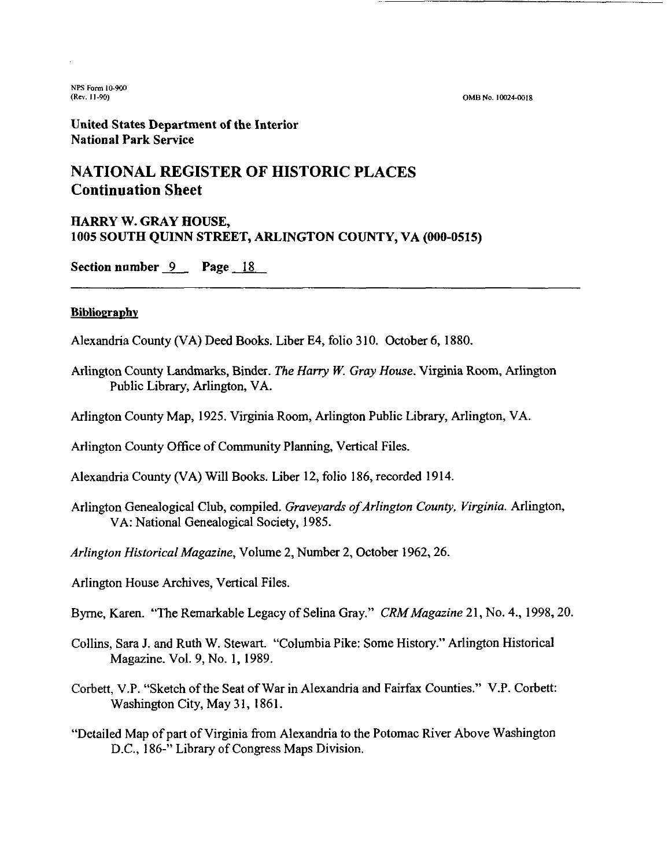**OM6** No. 10024-0018

United States Department of the Interior National Park Service

#### **NATIONAL REGISTER OF HISTORIC PLACES Continuation Sheet**

# HARRY W. GRAY HOUSE, **1005 SOUTH QUINN STREET, ARLINGTON COUNTY, VA (000-0515)**<br>Section number 9 Page 18

#### **Bibliography**

Alexandria County (VA) Deed Books. Liber E4, folio 3 10. October 6, 1880.

- Arlington County Landmarks, Binder. The Harry W. Gray House. Virginia Room, Arlington Public Library, Arlington, VA.
- Arlington County Map, 1925. Virginia Room, Arlington Public Library, Arlington, VA.

Arlington County Office of Community Planning, Vertical Files.

Alexandria County (VA) Will Books. Liber 12, folio 186, recorded 1914.

Arlington Genealogical Club, compiled. Graveyards of Arlington County, Virginia. Arlington, VA: National Genealogical Society, 1985.

Arlington Historical Magazine, Volume 2, Number 2, October 1962,26.

Arlington House Archives, Vertical Files.

Byrne, Karen. "The Remarkable Legacy of Selina Gray." CRM Magazine 21, No. 4., 1998, 20.

- Collins, Sara J. and Ruth W. Stewart. "Columbia Pike: Some History." Arlington Historical Magazine. Vol. 9, No. 1, 1989.
- Corbett, V.P. "Sketch of the Seat of War in Alexandria and Fairfax Counties." V.P. Corbett: Washington City, May 31, 1861.
- "Detailed Map of part of Virginia from Alexandria to the Potomac River Above Washington D.C., 186-" Library of Congress Maps Division.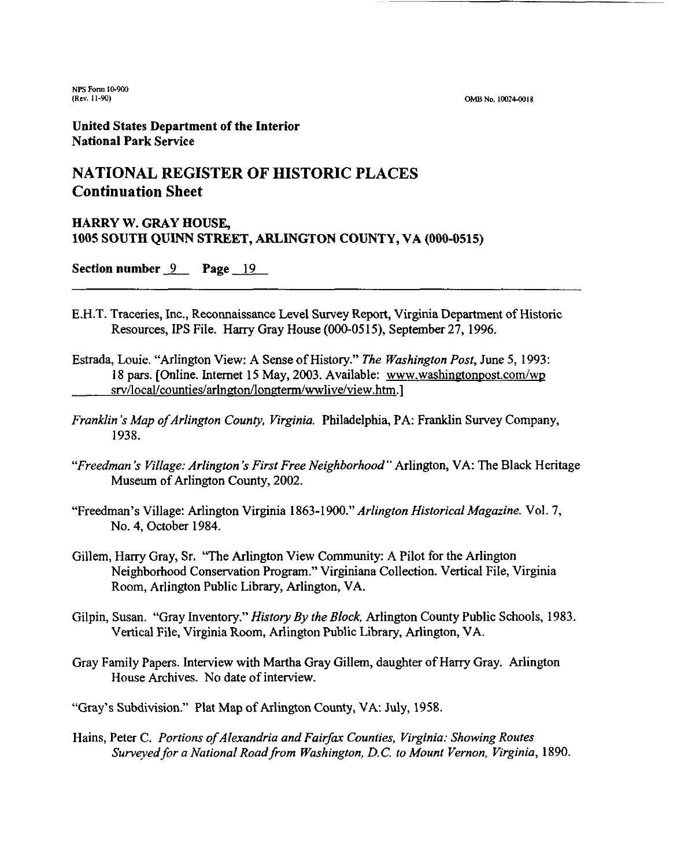**(OMB No. 10024-0018** 

**United States Department of the Interior National Park Sewice** 

#### **NATIONAL REGISTER OF HISTORIC PLACES Continuation Sheet**

#### **HARRY W. GRAY HOUSE, 1005 SOUTH QUINN STREET, ARLINGTON COUNTY, VA (000-0515)**

**Section number** 9 **Page** <sup>19</sup>

- E.H.T. Traceries, Inc., Reconnaissance Level Survey Report, Virginia Department of Historic Resources, IPS File. Harry Gray House (000-0515), September 27, 1996.
- Estrada, Louie. "Arlington View: A Sense of History." *The Washington Post,* June 5, 1993: 18 pars. [Online. Internet 15 May, 2003. Available: www.washingtonpost.com/wp srv/local/counties/arlngton/longterm/wwlive/view.htm.]
- *Franklin 's Map ofArlington Counfy, Virginia.* Philadelphia, PA: Franklin Survey Company, 1938.
- *"Freedman* 's *Village: Arlington* **'s** *First Free Neighborhood"* Arlington, VA: The Black Heritage Museum of Arlington County, 2002.
- "Freedman's Village: Arlington Virginia 1863-1900." *Arlington Historical Magazine.* Vol. 7, No. 4, October 1984.
- Gillem, Harry Gray, Sr. ''The Arlington View Community: A Pilot for the Arlington Neighborhood Conservation Program." Virginians Collection. Vertical File, Virginia Room, Arlington Public Library, Arlington, VA.
- Gilpin, Susan. "Gray Inventory." *History By the Block,* Arlington County Public Schools, 1983. Vertical File, Virginia Room, Arlington Public Library, Arlington, VA.
- Gray Family Papers. Interview with Martha Gray Gillem, daughter of Harry Gray. Arlington House Archives. No date of interview.

"Gray's Subdivision." Plat Map of Arlington County, VA: July, 1958.

Hains, Peter C. Portions of Alexandria and Fairfax Counties, Virginia: Showing Routes *Surveyed for a National Road from Washington, D.C. to Mount Vernon, Virginia, 1890.*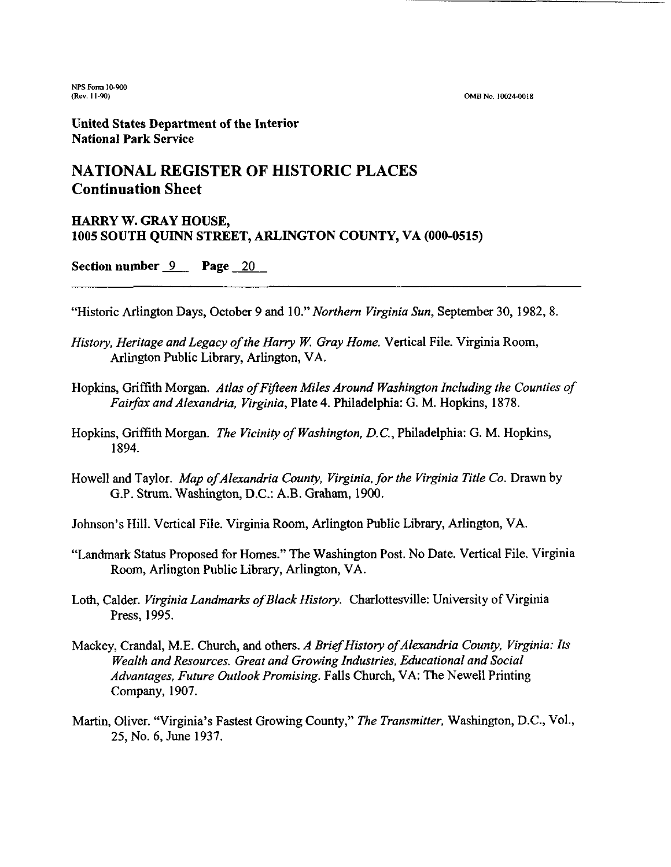OMB No. 10024-0018

United States Department of the Interior National Park Service

#### **NATIONAL REGISTER OF HISTORIC PLACES Continuation Sheet**

#### HARRY W. GRAY HOUSE, **1005** SOUTH QUINN STREET, ARLINGTON COUNTY, VA **(000-0515)**

Section number  $9$  Page 20

"Historic Arlington Days, October 9 and lo." *Northern Virginia Sun,* September 30, 1982, 8.

- *History, Heritage and Legacy of the Harry W. Gray Home.* Vertical File. Virginia Room, Arlington Public Library, Arlington, VA.
- Hopkins, Griffith Morgan. *Atlas of Fifteen Miles Around Washington Including the Counties of Fairfax and Alexandria, Virginia,* Plate *4.* Philadelphia: G. M. Hopkins, 1878.
- Hopkins, Griffith Morgan. *The Vicinity of Washington, D.C.,* Philadelphia: *G.* M. Hopkins, 1894.
- Howell and Taylor. *Map of Alexandria County, Virginia, for the Virginia Title Co.* Drawn by G.P. Stturn. Washington, D.C.: A.B. Graham, 1900.

Johnson's Hill. Vertical File. Virginia Room, Arlington Public Library, Arlington, VA.

- "Landmark Status Proposed for Homes." The Washington Post. No Date. Vertical File. Virginia Room, Arlington Public Library, Arlington, VA.
- Loth, Calder. *Virginia Landmarks ofBlack History.* Charlottesville: University of Virginia Press, 1995.
- Mackey, Crandal, M.E. Church, and others. A Brief History of Alexandria County, Virginia: Its *Wealth and Resources. Great and Growing Industries, Educational and Social Advantages, Future OutlookPromising.* Falls Church, VA: The Newell Printing Company, 1907.
- Martin, Oliver. "Virginia's Fastest Growing County," *The Transmitter,* Washington, D.C., Vol., 25, No. 6, June 1937.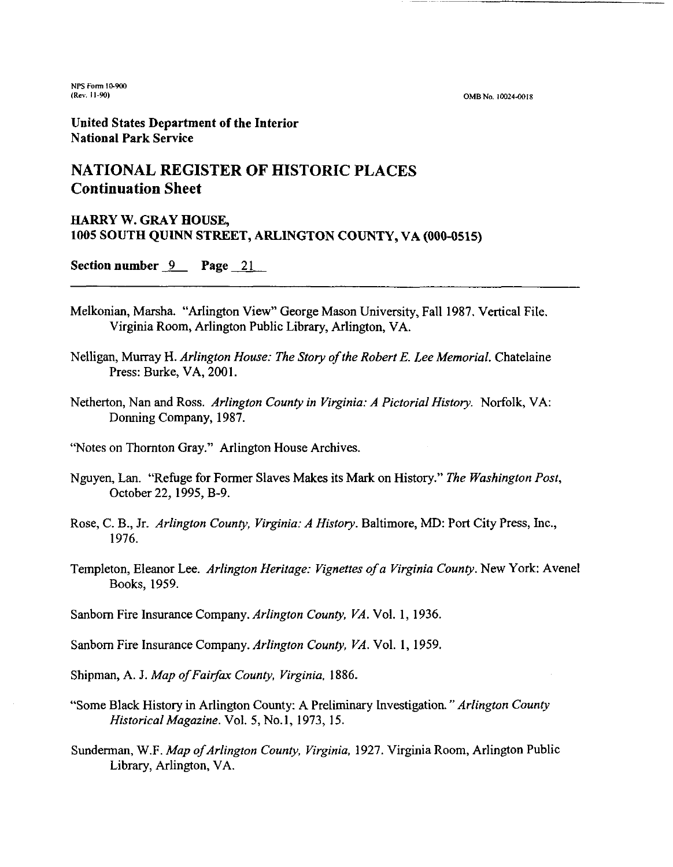**NPS Fon 10-903 (Rev. 11-90)** 

OMB No. 10024-0018

**United States Department of the Interior National Park Service** 

#### **NATIONAL REGISTER OF HISTORIC PLACES Continuation Sheet**

## **HARRY W. GRAY HOUSE, 1005 SOUTH QUINN STREET, ARLINGTON COUNTY, VA (000-0515)**<br>Section number <u>9</u> **Page** 21

- Melkonian, Marsha. "Arlington View" George Mason University, Fall 1987. Vertical File. Virginia Room, Arlington Public Library, Arlington, VA.
- Nelligan, Murray H. *Arlington House: The Story of the Robert E. Lee Memorial.* Chatelaine Press: Burke, VA, 2001.
- Netherton, Nan and Ross. *Arlington County in Virginia: A Pictorial History.* Norfolk, VA: Donning Company, 1987.

"Notes on Thomton Gray." Arlington House Archives.

- Nguyen, Lan. ''Refuge for Former Slaves Makes its Mark on History." *The Washington Post,*  October 22, 1995, B-9.
- Rose, C. B., Jr. *Arlington County, Virginia: A History.* Baltimore, MD: Port City Press, Inc., 1976.
- Templeton, Eleanor Lee. *Arlington Heritage: Vignettes of a Virginia County.* New York: Avenel Books, 1959.

Sanbom Fire Insurance Company. *Arlington County, VA.* Vol. *1,* 1936.

Sanbom Fire Insurance Company. *Arlington County, VA.* Vol. *1,* 1959.

Shipman, A. J. *Map of Fairfax County, Virginia*, 1886.

- "Some Black History in Arlington County: A Preliminary Investigation. *"Arlington County Historical Magazine.* Vol. 5, No. 1, 1973, 15.
- Sunderman, W.F. *Map of Arlington County, Virginia*, 1927. Virginia Room, Arlington Public Library, Arlington, VA.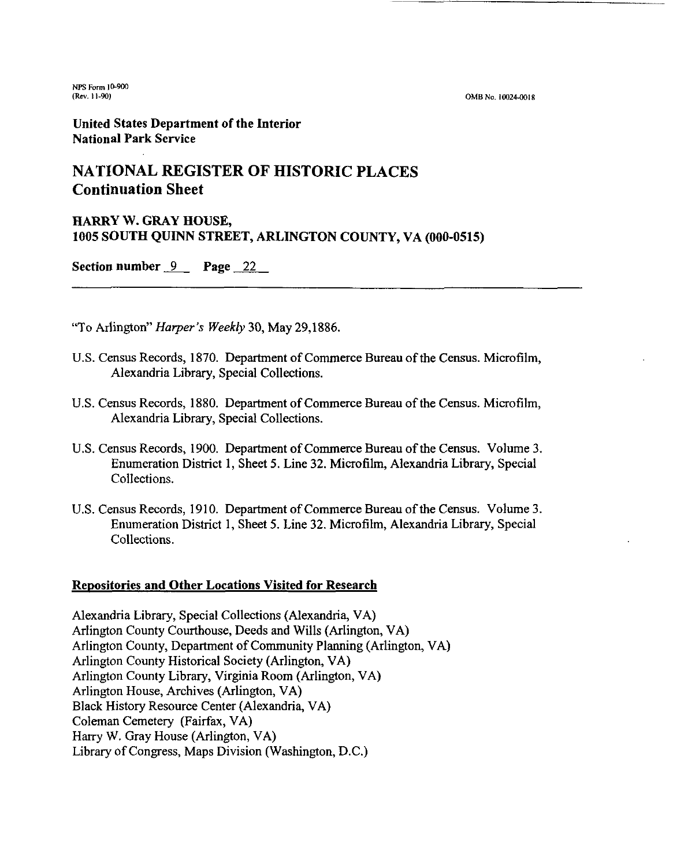(Rev. 11-90) **OMBNo. 10024-0018** 

United States Department of the Interior **National Park Service** 

#### **NATlONAL REGISTER OF HISTORIC PLACES Continuation Sheet**

# HARRY W. GRAY HOUSE, **1005 SOUTH QUINN STREET, ARLINGTON COUNTY, VA (000-0515)**<br>Section number <u>9</u> Page 22

"To Arlington" Harper's Weekly 30, May 29,1886.

- U.S. Census Records, 1870. Department of Commerce Bureau of the Census. Microfilm, Alexandria Library, Special Collections.
- U.S. Census Records, 1880. Department of Commerce Bureau of the Census. Microfilm, Alexandria Library, Special Collections.
- U.S. Census Records, 1900. Department of Commerce Bureau of the Census. Volume 3. Enumeration District 1, Sheet 5. Line **32.** Microfilm, Alexandria Library, Special Collections.
- U.S. Census Records, 1910. Department of Commerce Bureau of the Census. Volume 3. Enumeration District 1, Sheet 5. Line **32.** Microfilm, Alexandria Library, Special Collections.

#### Repositories and Other Locations Visited for Research

Alexandria Library, Special Collections (Alexandria, VA) Arlington County Courthouse, Deeds and Wills (Arlington, VA) Arlington County, Department of Community Planning (Arlington, VA) Arlington County Historical Society (Arlington, VA) Arlington County Library, Virginia Room (Arlington, VA) Arlington House, Archives (Arlington, VA) Black History Resource Center (Alexandria, VA) Coleman Cemetery (Fairfax, VA) Hany W. Gray House (Arlington, VA) Library of Congress, Maps Division (Washington, D.C.)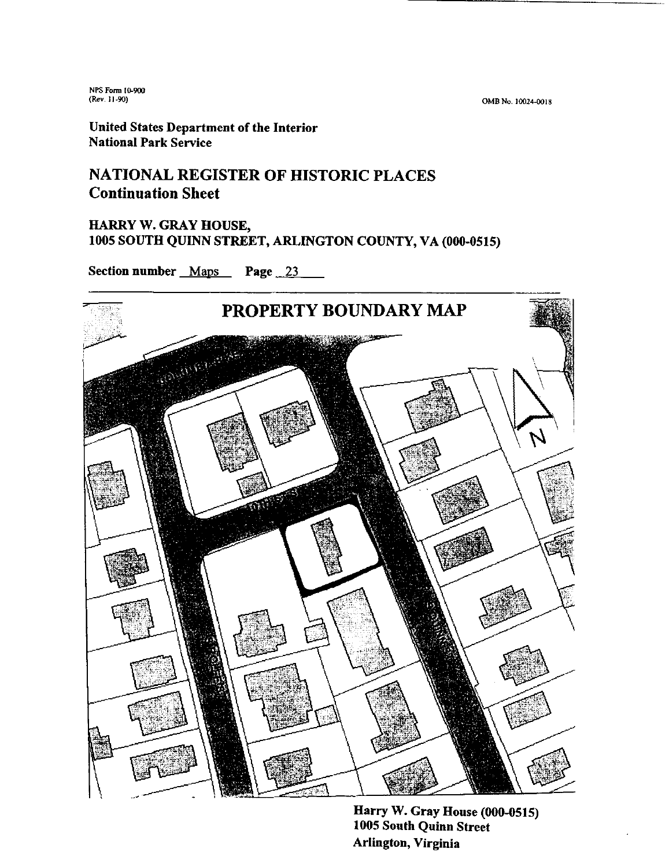OMB No. 10024-0018

**United States Department of the Interior National Park Service** 

#### **NATIONAL REGISTER OF HISTORIC PLACES Continuation Sheet**

#### **FIARRY W. GRAY HOUSE, 1005 SOUTH QUINN STREET, ARLINGTON COUNTY, VA (000-0515)**

**Section number Maps Page 23** 



**Harry W. Gray House (000-0515) 1005 South Quinn Street Arlington, Virginia**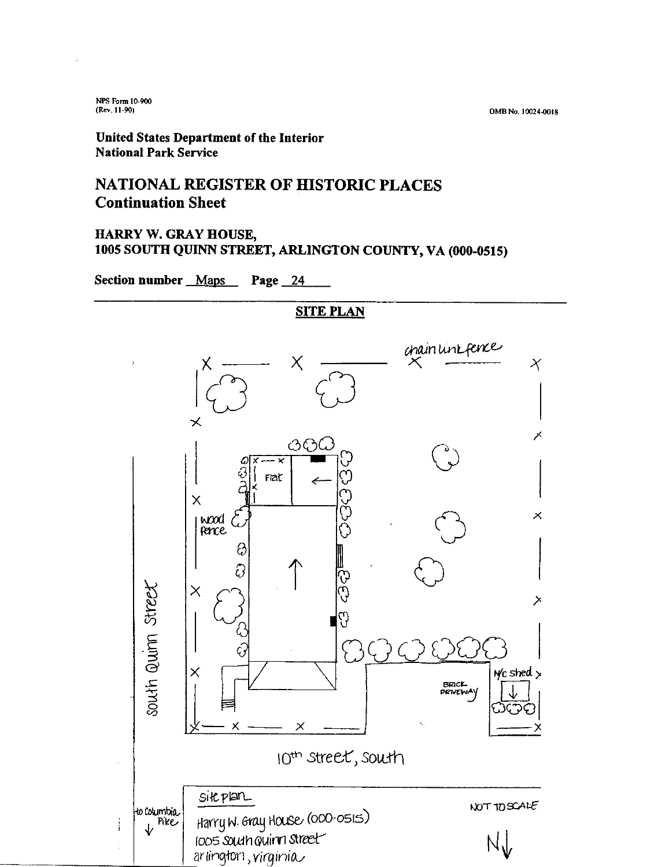**OMB No. l0324M)18** 

#### **United States Department of the Interior National Park Service**

#### **NATIONAL REGISTER OF HISTORIC PLACES Continuation Sheet**

#### **HARRY W. GRAY HOUSE, 1005 SOUTH QUINN STREET, ARLINGTON COUNTY, VA (000-0515)**

**Section number Maps Page 24** 

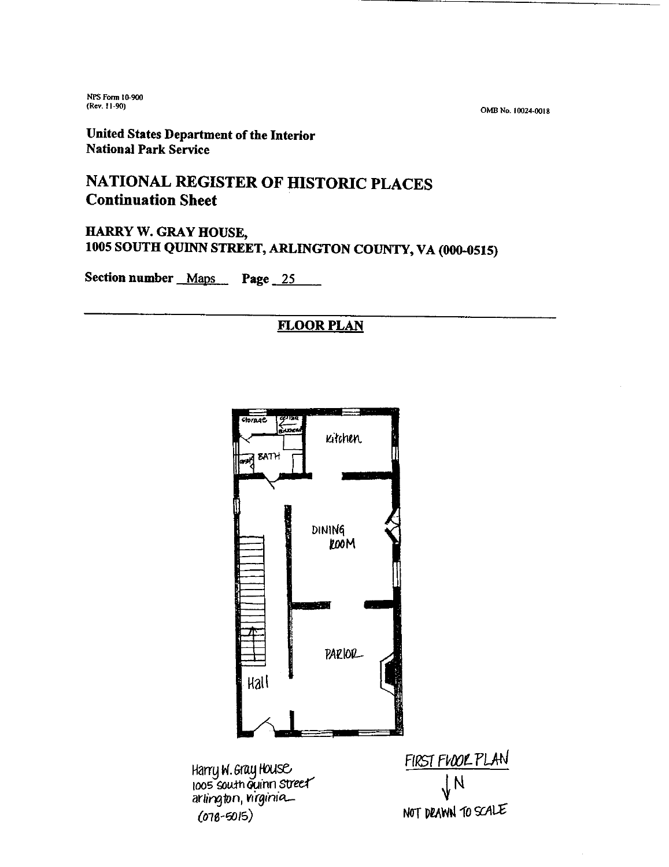**(Rev. 11 -90) OM4 No. I002PWls** 

**United States Department of the Interior National Park Service** 

### **NATIONAL REGISTER OF BISTORIC PLACES Continuation Sheet**

**HARRY W. GRAY HOUSE, 1005 SOUTH QUJNN STREET, ARLINGTON COUNTY, VA (000-0515)** 

Section number Maps Page 25

#### **FLOOR PLAN**

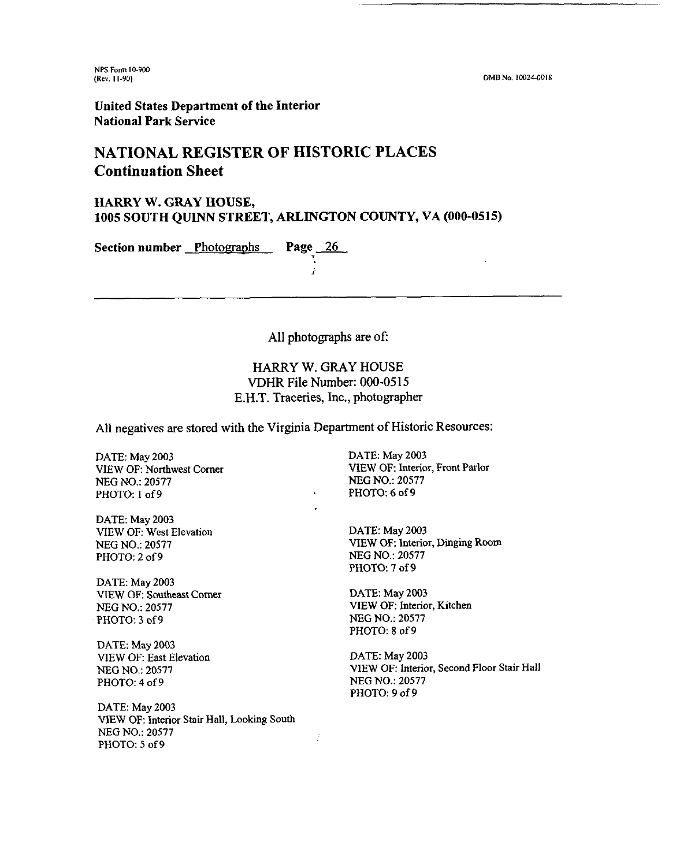**NPS Form IO-WO (Rev. 11-90)** 

OMB No. 10024-0018

**United States Department of the Interior National Park Service** 

#### **NATIONAL REGISTER OF HISTORIC PLACES Continuation Sheet**

#### **HARRY W. GRAY HOUSE, 1005 SOUTH QUINN STREET, ARLINGTON COUNTY, VA (000-0515)**

**i** 

**Section number Photographs Page 26** 

All photographs are of:

HARRY W. GRAY HOUSE **VDHR File Number: 000-05 15**  E.H.T. Traceries, Inc., photographer

All negatives are stored with the Virginia Department of Historic Resources:

Ñ

đ

DATE: May **2003**  VIEW OF: Northwest Comer **NEG** NO.: **20577**  PHOTO: 1 of 9

DATE: May **2003**  VIEW OF: West Elevation **NEG** NO.: **20577**  PHOTO: **2** of 9

DATE: May **2003**  VIEW OF: Southeast Comer **NEG** NO.: **20577**  PHOTO: 3 of 9

DATE: May **2003**  VIEW OF: East Elevation **NEG** NO.: **20577**  PHOTO: 4 of 9

DATE: May **2003 ViEW** OF: Interior Stair Hall, **Looking** South NEG NO.: **20577**  PHOTO: *5* of 9

DATE: May **2003**  VIEW OF: Interior, Front Parlor **NEG** NO.: **20577**  PHOTO: 6 of 9

DATE: May **2003**  VIEW OF: Interior, Dinging Room **NEG** NO.: **20577**  PHOTO: **7** of 9

DATE: May **2003**  VIEW OF: Interior, Kitchen **NEG** NO.: **20577**  PHOTO: 8 of 9

DATE: May **2003**  VIEW OF: Interior, Second Floor Stair Hall **NEG** NO.: **20577**  PHOTO: 9 of 9